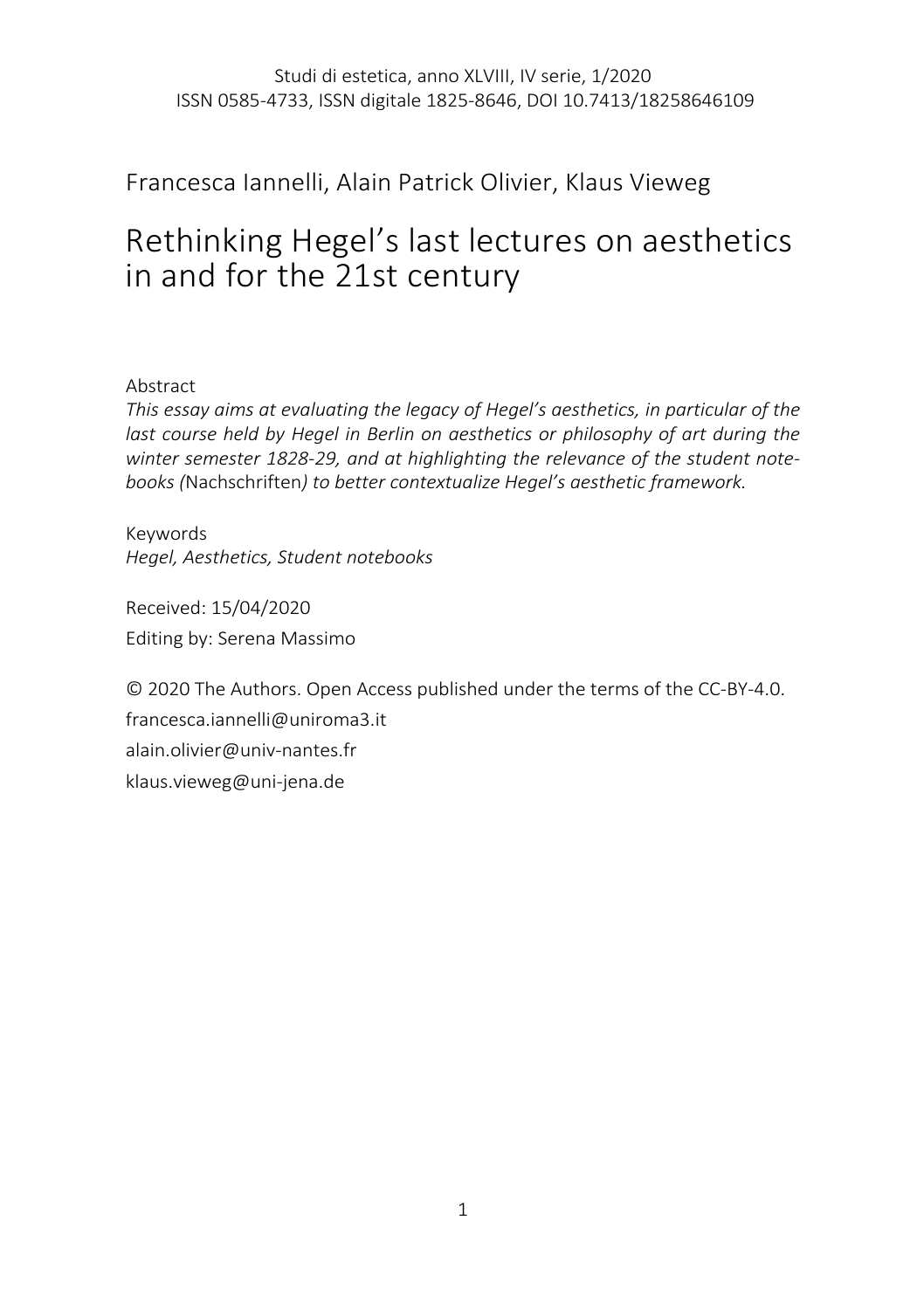# Francesca Iannelli, Alain Patrick Olivier, Klaus Vieweg

# Rethinking Hegel's last lectures on aesthetics in and for the 21st century

# Abstract

*This essay aims at evaluating the legacy of Hegel's aesthetics, in particular of the last course held by Hegel in Berlin on aesthetics or philosophy of art during the winter semester 1828-29, and at highlighting the relevance of the student notebooks (*Nachschriften*) to better contextualize Hegel's aesthetic framework.*

Keywords *Hegel, Aesthetics, Student notebooks*

Received: 15/04/2020 Editing by: Serena Massimo

© 2020 The Authors. Open Access published under the terms of the CC-BY-4.0. francesca.iannelli@uniroma3.it alain.olivier@univ-nantes.fr klaus.vieweg@uni-jena.de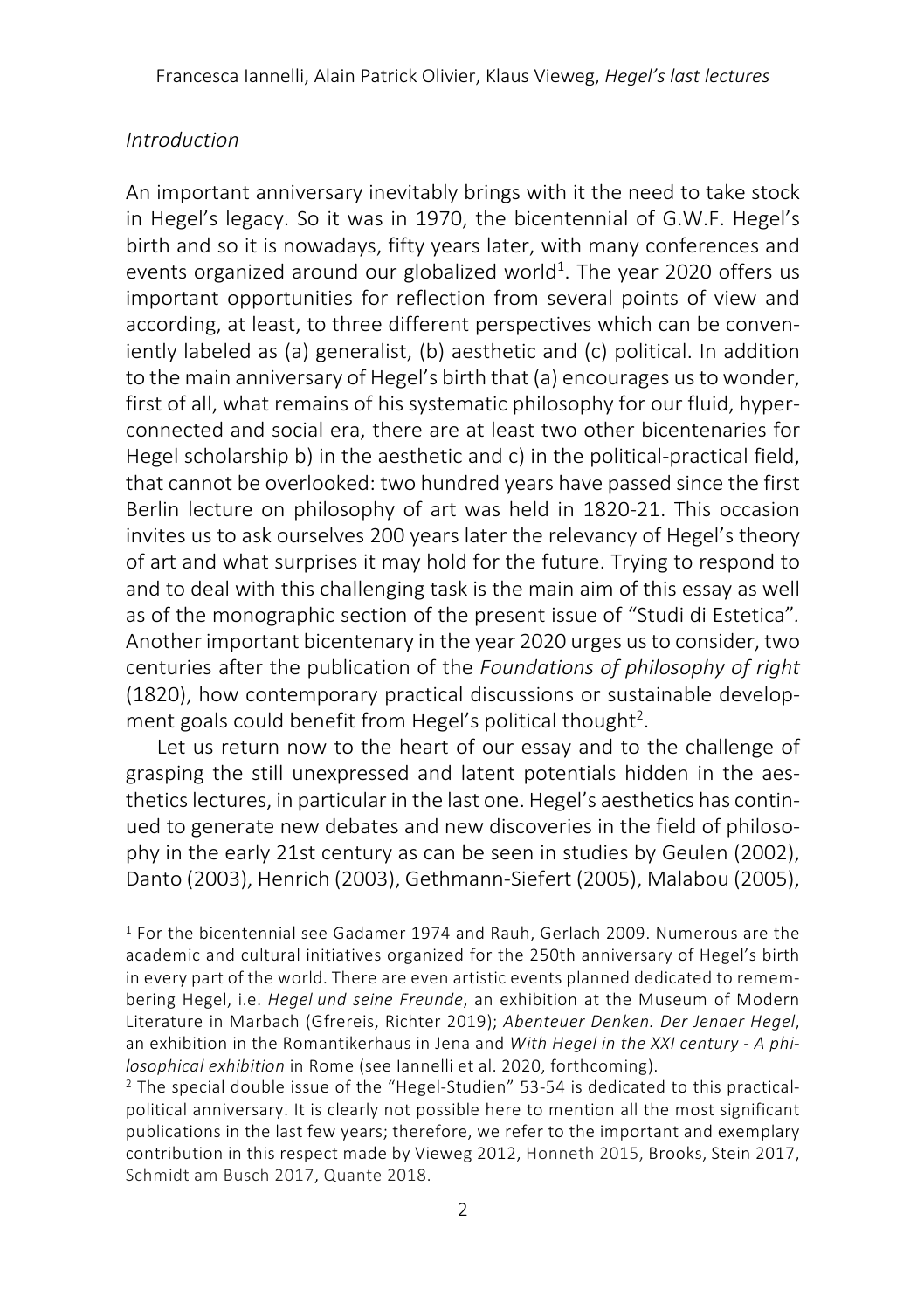#### *Introduction*

An important anniversary inevitably brings with it the need to take stock in Hegel's legacy. So it was in 1970, the bicentennial of G.W.F. Hegel's birth and so it is nowadays, fifty years later, with many conferences and events organized around our globalized world<sup>1</sup>. The year 2020 offers us important opportunities for reflection from several points of view and according, at least, to three different perspectives which can be conveniently labeled as (a) generalist, (b) aesthetic and (c) political. In addition to the main anniversary of Hegel's birth that (a) encourages us to wonder, first of all, what remains of his systematic philosophy for our fluid, hyperconnected and social era, there are at least two other bicentenaries for Hegel scholarship b) in the aesthetic and c) in the political-practical field, that cannot be overlooked: two hundred years have passed since the first Berlin lecture on philosophy of art was held in 1820-21. This occasion invites us to ask ourselves 200 years later the relevancy of Hegel's theory of art and what surprises it may hold for the future. Trying to respond to and to deal with this challenging task is the main aim of this essay as well as of the monographic section of the present issue of "Studi di Estetica"*.*  Another important bicentenary in the year 2020 urges us to consider, two centuries after the publication of the *Foundations of philosophy of right* (1820), how contemporary practical discussions or sustainable development goals could benefit from Hegel's political thought<sup>2</sup>.

Let us return now to the heart of our essay and to the challenge of grasping the still unexpressed and latent potentials hidden in the aesthetics lectures, in particular in the last one. Hegel's aesthetics has continued to generate new debates and new discoveries in the field of philosophy in the early 21st century as can be seen in studies by Geulen (2002), Danto (2003), Henrich (2003), Gethmann-Siefert (2005), Malabou (2005),

<sup>2</sup> The special double issue of the "Hegel-Studien" 53-54 is dedicated to this practicalpolitical anniversary. It is clearly not possible here to mention all the most significant publications in the last few years; therefore, we refer to the important and exemplary contribution in this respect made by Vieweg 2012, Honneth 2015, Brooks, Stein 2017, Schmidt am Busch 2017, Quante 2018.

<sup>1</sup> For the bicentennial see Gadamer 1974 and Rauh, Gerlach 2009. Numerous are the academic and cultural initiatives organized for the 250th anniversary of Hegel's birth in every part of the world. There are even artistic events planned dedicated to remembering Hegel, i.e. *Hegel und seine Freunde*, an exhibition at the Museum of Modern Literature in Marbach (Gfrereis, Richter 2019); *Abenteuer Denken. Der Jenaer Hegel*, an exhibition in the Romantikerhaus in Jena and *With Hegel in the XXI century - A philosophical exhibition* in Rome (see Iannelli et al. 2020, forthcoming).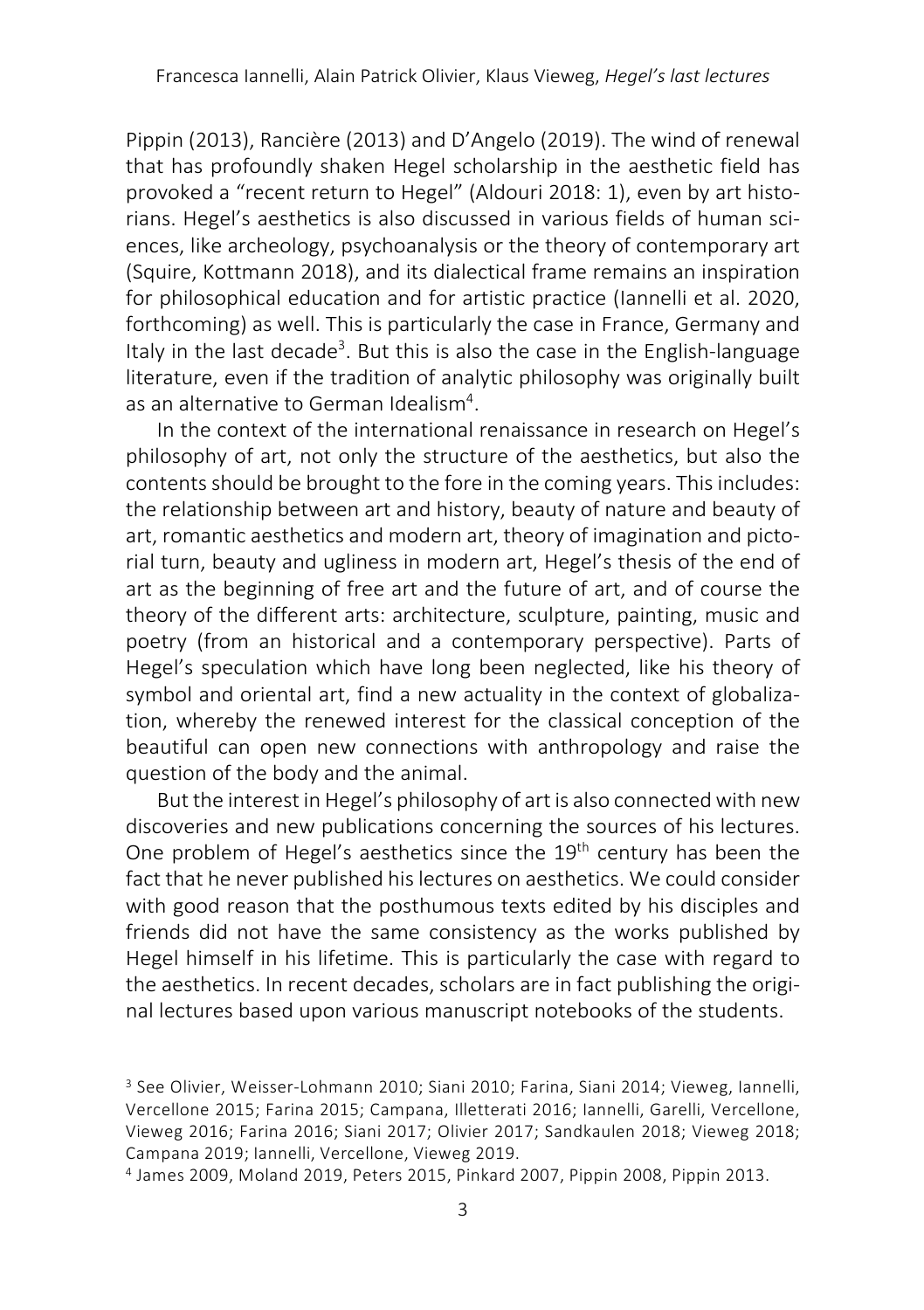Pippin (2013), Rancière (2013) and D'Angelo (2019). The wind of renewal that has profoundly shaken Hegel scholarship in the aesthetic field has provoked a "recent return to Hegel" (Aldouri 2018: 1), even by art historians. Hegel's aesthetics is also discussed in various fields of human sciences, like archeology, psychoanalysis or the theory of contemporary art (Squire, Kottmann 2018), and its dialectical frame remains an inspiration for philosophical education and for artistic practice (Iannelli et al. 2020, forthcoming) as well. This is particularly the case in France, Germany and Italy in the last decade<sup>3</sup>. But this is also the case in the English-language literature, even if the tradition of analytic philosophy was originally built as an alternative to German Idealism<sup>4</sup>.

In the context of the international renaissance in research on Hegel's philosophy of art, not only the structure of the aesthetics, but also the contents should be brought to the fore in the coming years. This includes: the relationship between art and history, beauty of nature and beauty of art, romantic aesthetics and modern art, theory of imagination and pictorial turn, beauty and ugliness in modern art, Hegel's thesis of the end of art as the beginning of free art and the future of art, and of course the theory of the different arts: architecture, sculpture, painting, music and poetry (from an historical and a contemporary perspective). Parts of Hegel's speculation which have long been neglected, like his theory of symbol and oriental art, find a new actuality in the context of globalization, whereby the renewed interest for the classical conception of the beautiful can open new connections with anthropology and raise the question of the body and the animal.

But the interest in Hegel's philosophy of art is also connected with new discoveries and new publications concerning the sources of his lectures. One problem of Hegel's aesthetics since the 19<sup>th</sup> century has been the fact that he never published his lectures on aesthetics. We could consider with good reason that the posthumous texts edited by his disciples and friends did not have the same consistency as the works published by Hegel himself in his lifetime. This is particularly the case with regard to the aesthetics. In recent decades, scholars are in fact publishing the original lectures based upon various manuscript notebooks of the students.

<sup>3</sup> See Olivier, Weisser-Lohmann 2010; Siani 2010; Farina, Siani 2014; Vieweg, Iannelli, Vercellone 2015; Farina 2015; Campana, Illetterati 2016; Iannelli, Garelli, Vercellone, Vieweg 2016; Farina 2016; Siani 2017; Olivier 2017; Sandkaulen 2018; Vieweg 2018; Campana 2019; Iannelli, Vercellone, Vieweg 2019.

<sup>4</sup> James 2009, Moland 2019, Peters 2015, Pinkard 2007, Pippin 2008, Pippin 2013.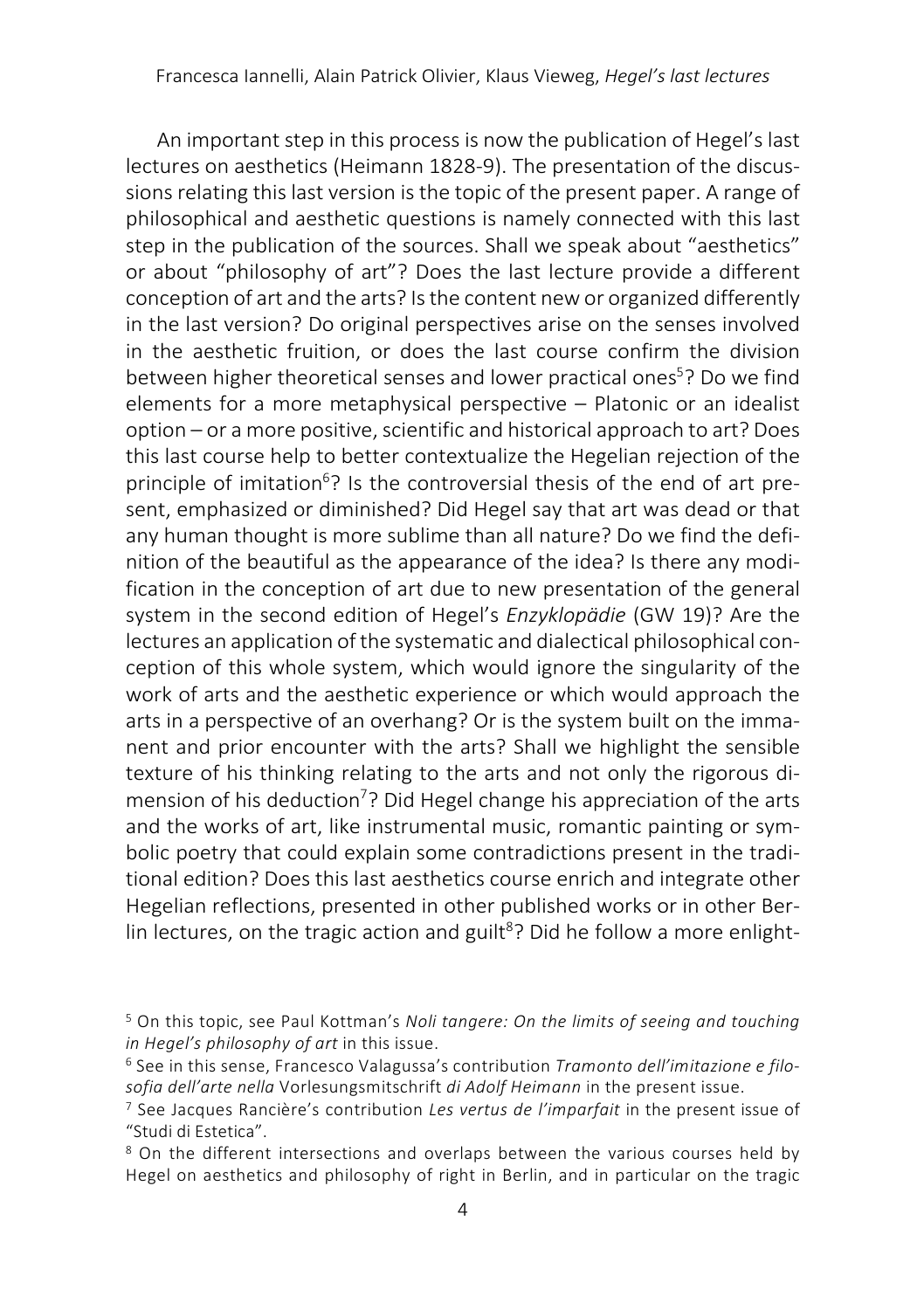An important step in this process is now the publication of Hegel's last lectures on aesthetics (Heimann 1828-9). The presentation of the discussions relating this last version is the topic of the present paper. A range of philosophical and aesthetic questions is namely connected with this last step in the publication of the sources. Shall we speak about "aesthetics" or about "philosophy of art"? Does the last lecture provide a different conception of art and the arts? Is the content newor organized differently in the last version? Do original perspectives arise on the senses involved in the aesthetic fruition, or does the last course confirm the division between higher theoretical senses and lower practical ones<sup>5</sup>? Do we find elements for a more metaphysical perspective – Platonic or an idealist option ‒ or a more positive, scientific and historical approach to art? Does this last course help to better contextualize the Hegelian rejection of the principle of imitation<sup>6</sup>? Is the controversial thesis of the end of art present, emphasized or diminished? Did Hegel say that art was dead or that any human thought is more sublime than all nature? Do we find the definition of the beautiful as the appearance of the idea? Is there any modification in the conception of art due to new presentation of the general system in the second edition of Hegel's *Enzyklopädie* (GW 19)? Are the lectures an application of the systematic and dialectical philosophical conception of this whole system, which would ignore the singularity of the work of arts and the aesthetic experience or which would approach the arts in a perspective of an overhang? Or is the system built on the immanent and prior encounter with the arts? Shall we highlight the sensible texture of his thinking relating to the arts and not only the rigorous dimension of his deduction<sup>7</sup>? Did Hegel change his appreciation of the arts and the works of art, like instrumental music, romantic painting or symbolic poetry that could explain some contradictions present in the traditional edition? Does this last aesthetics course enrich and integrate other Hegelian reflections, presented in other published works or in other Berlin lectures, on the tragic action and guilt<sup>8</sup>? Did he follow a more enlight-

<sup>5</sup> On this topic, see Paul Kottman's *Noli tangere: On the limits of seeing and touching in Hegel's philosophy of art in this issue.*<br><sup>6</sup> See in this sense, Francesco Valagussa's contribution *Tramonto dell'imitazione e filo-*

*sofia dell'arte nella* Vorlesungsmitschrift *di Adolf Heimann* in the present issue.

<sup>7</sup> See Jacques Rancière's contribution *Les vertus de l'imparfait* in the present issue of "Studi di Estetica".

<sup>&</sup>lt;sup>8</sup> On the different intersections and overlaps between the various courses held by Hegel on aesthetics and philosophy of right in Berlin, and in particular on the tragic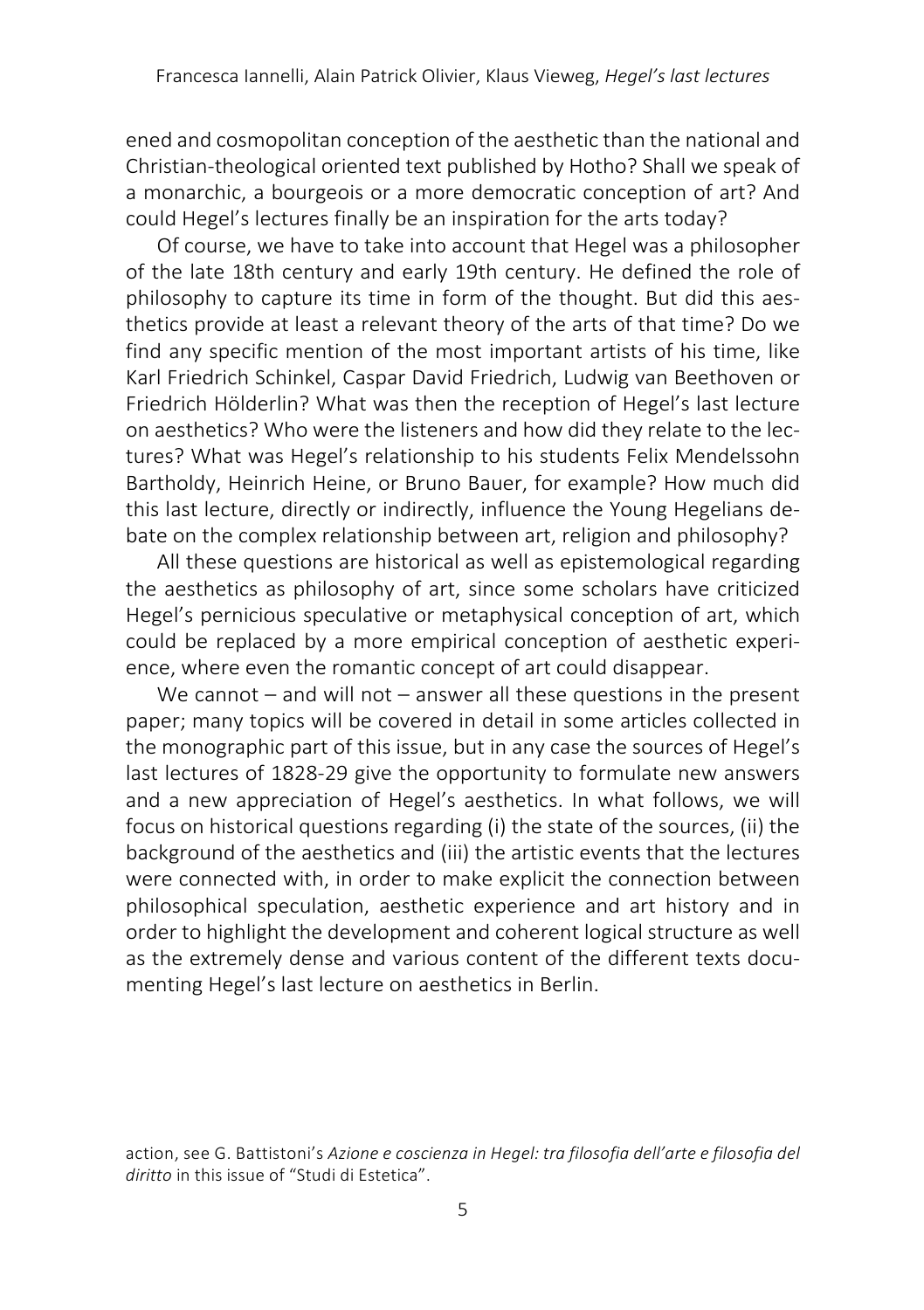ened and cosmopolitan conception of the aesthetic than the national and Christian-theological oriented text published by Hotho? Shall we speak of a monarchic, a bourgeois or a more democratic conception of art? And could Hegel's lectures finally be an inspiration for the arts today?

Of course, we have to take into account that Hegel was a philosopher of the late 18th century and early 19th century. He defined the role of philosophy to capture its time in form of the thought. But did this aesthetics provide at least a relevant theory of the arts of that time? Do we find any specific mention of the most important artists of his time, like Karl Friedrich Schinkel, Caspar David Friedrich, Ludwig van Beethoven or Friedrich Hölderlin? What was then the reception of Hegel's last lecture on aesthetics? Who were the listeners and how did they relate to the lectures? What was Hegel's relationship to his students Felix Mendelssohn Bartholdy, Heinrich Heine, or Bruno Bauer, for example? How much did this last lecture, directly or indirectly, influence the Young Hegelians debate on the complex relationship between art, religion and philosophy?

All these questions are historical as well as epistemological regarding the aesthetics as philosophy of art, since some scholars have criticized Hegel's pernicious speculative or metaphysical conception of art, which could be replaced by a more empirical conception of aesthetic experience, where even the romantic concept of art could disappear.

We cannot  $-$  and will not  $-$  answer all these questions in the present paper; many topics will be covered in detail in some articles collected in the monographic part of this issue, but in any case the sources of Hegel's last lectures of 1828-29 give the opportunity to formulate new answers and a new appreciation of Hegel's aesthetics. In what follows, we will focus on historical questions regarding (i) the state of the sources, (ii) the background of the aesthetics and (iii) the artistic events that the lectures were connected with, in order to make explicit the connection between philosophical speculation, aesthetic experience and art history and in order to highlight the development and coherent logical structure as well as the extremely dense and various content of the different texts documenting Hegel's last lecture on aesthetics in Berlin.

action, see G. Battistoni's *Azione e coscienza in Hegel: tra filosofia dell'arte e filosofia del diritto* in this issue of "Studi di Estetica".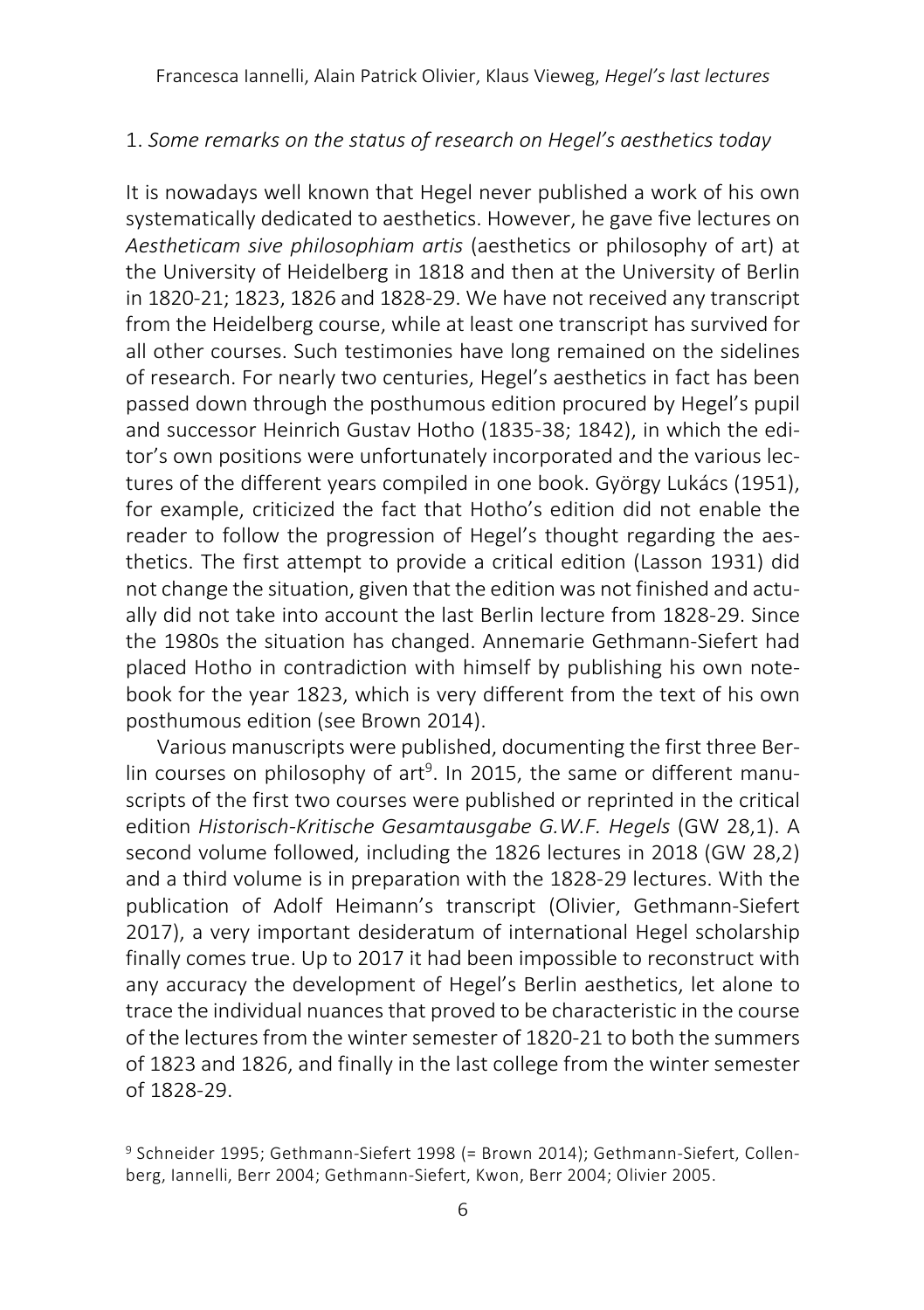Francesca Iannelli, Alain Patrick Olivier, Klaus Vieweg, *Hegel's last lectures*

# 1. *Some remarks on the status of research on Hegel's aesthetics today*

It is nowadays well known that Hegel never published a work of his own systematically dedicated to aesthetics. However, he gave five lectures on *Aestheticam sive philosophiam artis* (aesthetics or philosophy of art) at the University of Heidelberg in 1818 and then at the University of Berlin in 1820-21; 1823, 1826 and 1828-29. We have not received any transcript from the Heidelberg course, while at least one transcript has survived for all other courses. Such testimonies have long remained on the sidelines of research. For nearly two centuries, Hegel's aesthetics in fact has been passed down through the posthumous edition procured by Hegel's pupil and successor Heinrich Gustav Hotho (1835-38; 1842), in which the editor's own positions were unfortunately incorporated and the various lectures of the different years compiled in one book. György Lukács (1951), for example, criticized the fact that Hotho's edition did not enable the reader to follow the progression of Hegel's thought regarding the aesthetics. The first attempt to provide a critical edition (Lasson 1931) did not change the situation, given that the edition was not finished and actually did not take into account the last Berlin lecture from 1828-29. Since the 1980s the situation has changed. Annemarie Gethmann-Siefert had placed Hotho in contradiction with himself by publishing his own notebook for the year 1823, which is very different from the text of his own posthumous edition (see Brown 2014).

Various manuscripts were published, documenting the first three Berlin courses on philosophy of art<sup>9</sup>. In 2015, the same or different manuscripts of the first two courses were published or reprinted in the critical edition *Historisch-Kritische Gesamtausgabe G.W.F. Hegels* (GW 28,1). A second volume followed, including the 1826 lectures in 2018 (GW 28,2) and a third volume is in preparation with the 1828-29 lectures. With the publication of Adolf Heimann's transcript (Olivier, Gethmann-Siefert 2017), a very important desideratum of international Hegel scholarship finally comes true. Up to 2017 it had been impossible to reconstruct with any accuracy the development of Hegel's Berlin aesthetics, let alone to trace the individual nuances that proved to be characteristic in the course of the lectures from the winter semester of 1820-21 to both the summers of 1823 and 1826, and finally in the last college from the winter semester of 1828-29.

<sup>9</sup> Schneider 1995; Gethmann-Siefert 1998 (= Brown 2014); Gethmann-Siefert, Collenberg, Iannelli, Berr 2004; Gethmann-Siefert, Kwon, Berr 2004; Olivier 2005.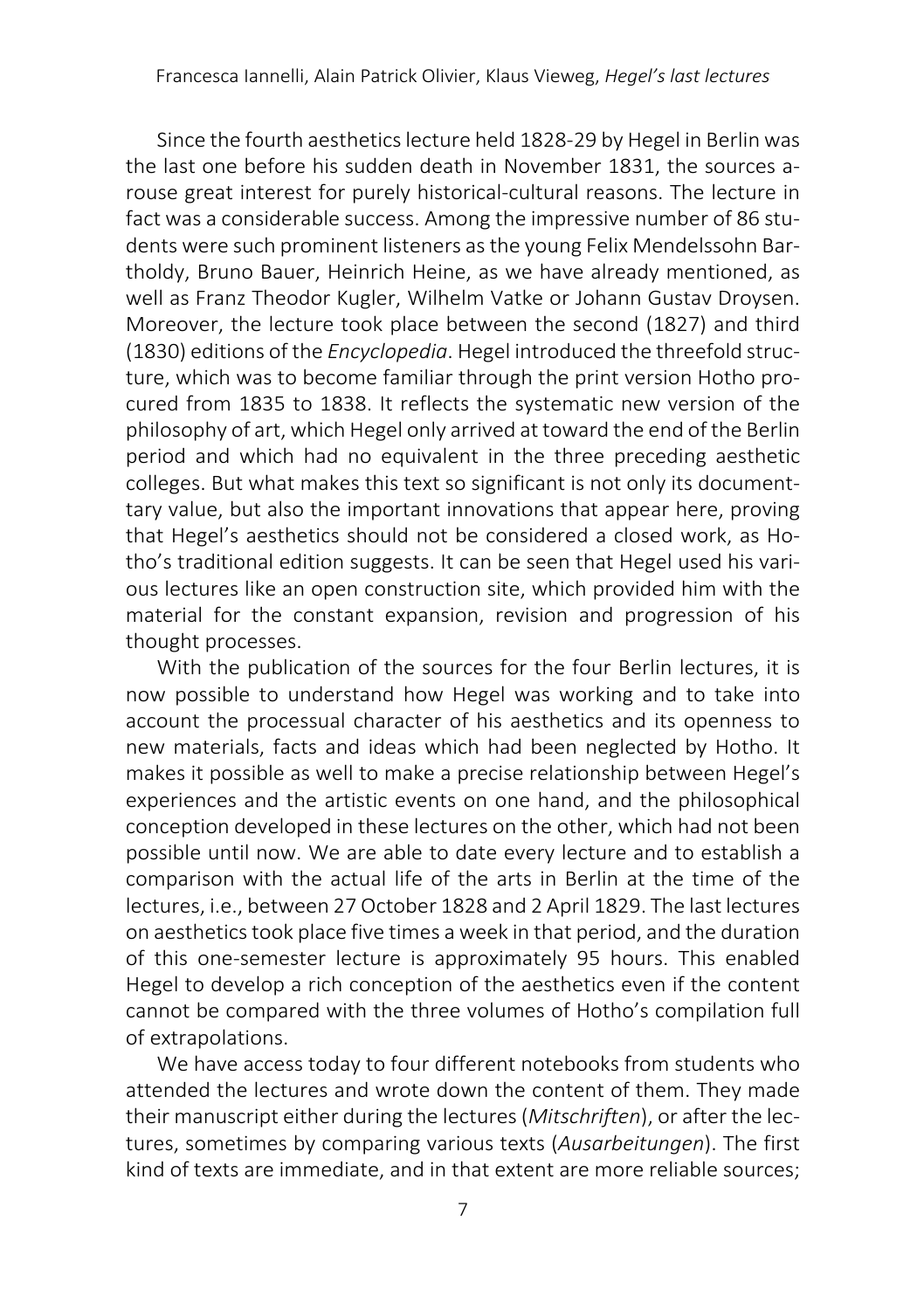Since the fourth aesthetics lecture held 1828-29 by Hegel in Berlin was the last one before his sudden death in November 1831, the sources arouse great interest for purely historical-cultural reasons. The lecture in fact was a considerable success. Among the impressive number of 86 students were such prominent listeners as the young Felix Mendelssohn Bartholdy, Bruno Bauer, Heinrich Heine, as we have already mentioned, as well as Franz Theodor Kugler, Wilhelm Vatke or Johann Gustav Droysen. Moreover, the lecture took place between the second (1827) and third (1830) editions of the *Encyclopedia*. Hegel introduced the threefold structure, which was to become familiar through the print version Hotho procured from 1835 to 1838. It reflects the systematic new version of the philosophy of art, which Hegel only arrived at toward the end of the Berlin period and which had no equivalent in the three preceding aesthetic colleges. But what makes this text so significant is not only its documenttary value, but also the important innovations that appear here, proving that Hegel's aesthetics should not be considered a closed work, as Hotho's traditional edition suggests. It can be seen that Hegel used his various lectures like an open construction site, which provided him with the material for the constant expansion, revision and progression of his thought processes.

With the publication of the sources for the four Berlin lectures, it is now possible to understand how Hegel was working and to take into account the processual character of his aesthetics and its openness to new materials, facts and ideas which had been neglected by Hotho. It makes it possible as well to make a precise relationship between Hegel's experiences and the artistic events on one hand, and the philosophical conception developed in these lectures on the other, which had not been possible until now. We are able to date every lecture and to establish a comparison with the actual life of the arts in Berlin at the time of the lectures, i.e., between 27 October 1828 and 2 April 1829. The last lectures on aesthetics took place five times a week in that period, and the duration of this one-semester lecture is approximately 95 hours. This enabled Hegel to develop a rich conception of the aesthetics even if the content cannot be compared with the three volumes of Hotho's compilation full of extrapolations.

We have access today to four different notebooks from students who attended the lectures and wrote down the content of them. They made their manuscript either during the lectures(*Mitschriften*), or after the lectures, sometimes by comparing various texts (*Ausarbeitungen*). The first kind of texts are immediate, and in that extent are more reliable sources;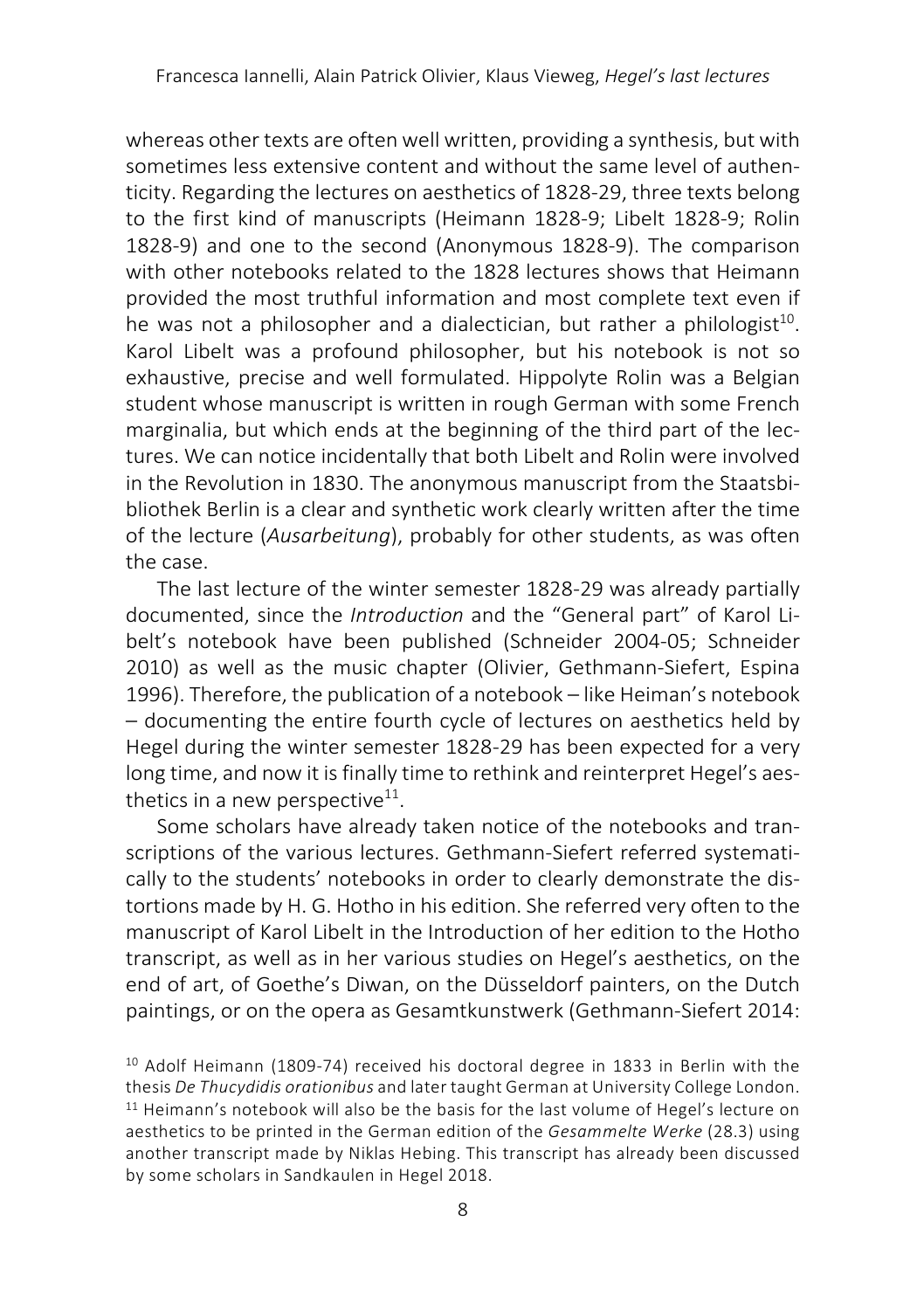whereas other texts are often well written, providing a synthesis, but with sometimes less extensive content and without the same level of authenticity. Regarding the lectures on aesthetics of 1828-29, three texts belong to the first kind of manuscripts (Heimann 1828-9; Libelt 1828-9; Rolin 1828-9) and one to the second (Anonymous 1828-9). The comparison with other notebooks related to the 1828 lectures shows that Heimann provided the most truthful information and most complete text even if he was not a philosopher and a dialectician, but rather a philologist<sup>10</sup>. Karol Libelt was a profound philosopher, but his notebook is not so exhaustive, precise and well formulated. Hippolyte Rolin was a Belgian student whose manuscript is written in rough German with some French marginalia, but which ends at the beginning of the third part of the lectures. We can notice incidentally that both Libelt and Rolin were involved in the Revolution in 1830. The anonymous manuscript from the Staatsbibliothek Berlin is a clear and synthetic work clearly written after the time of the lecture (*Ausarbeitung*), probably for other students, as was often the case.

The last lecture of the winter semester 1828-29 was already partially documented, since the *Introduction* and the "General part" of Karol Libelt's notebook have been published (Schneider 2004-05; Schneider 2010) as well as the music chapter (Olivier, Gethmann-Siefert, Espina 1996). Therefore, the publication of a notebook - like Heiman's notebook ‒ documenting the entire fourth cycle of lectures on aesthetics held by Hegel during the winter semester 1828-29 has been expected for a very long time, and now it is finally time to rethink and reinterpret Hegel's aesthetics in a new perspective $11$ .

Some scholars have already taken notice of the notebooks and transcriptions of the various lectures. Gethmann-Siefert referred systematically to the students' notebooks in order to clearly demonstrate the distortions made by H. G. Hotho in his edition. She referred very often to the manuscript of Karol Libelt in the Introduction of her edition to the Hotho transcript, as well as in her various studies on Hegel's aesthetics, on the end of art, of Goethe's Diwan, on the Düsseldorf painters, on the Dutch paintings, or on the opera as Gesamtkunstwerk (Gethmann-Siefert 2014:

<sup>10</sup> Adolf Heimann (1809-74) received his doctoral degree in 1833 in Berlin with the thesis *De Thucydidis orationibus* and later taught German at University College London. <sup>11</sup> Heimann's notebook will also be the basis for the last volume of Hegel's lecture on aesthetics to be printed in the German edition of the *Gesammelte Werke* (28.3) using another transcript made by Niklas Hebing. This transcript has already been discussed by some scholars in Sandkaulen in Hegel 2018.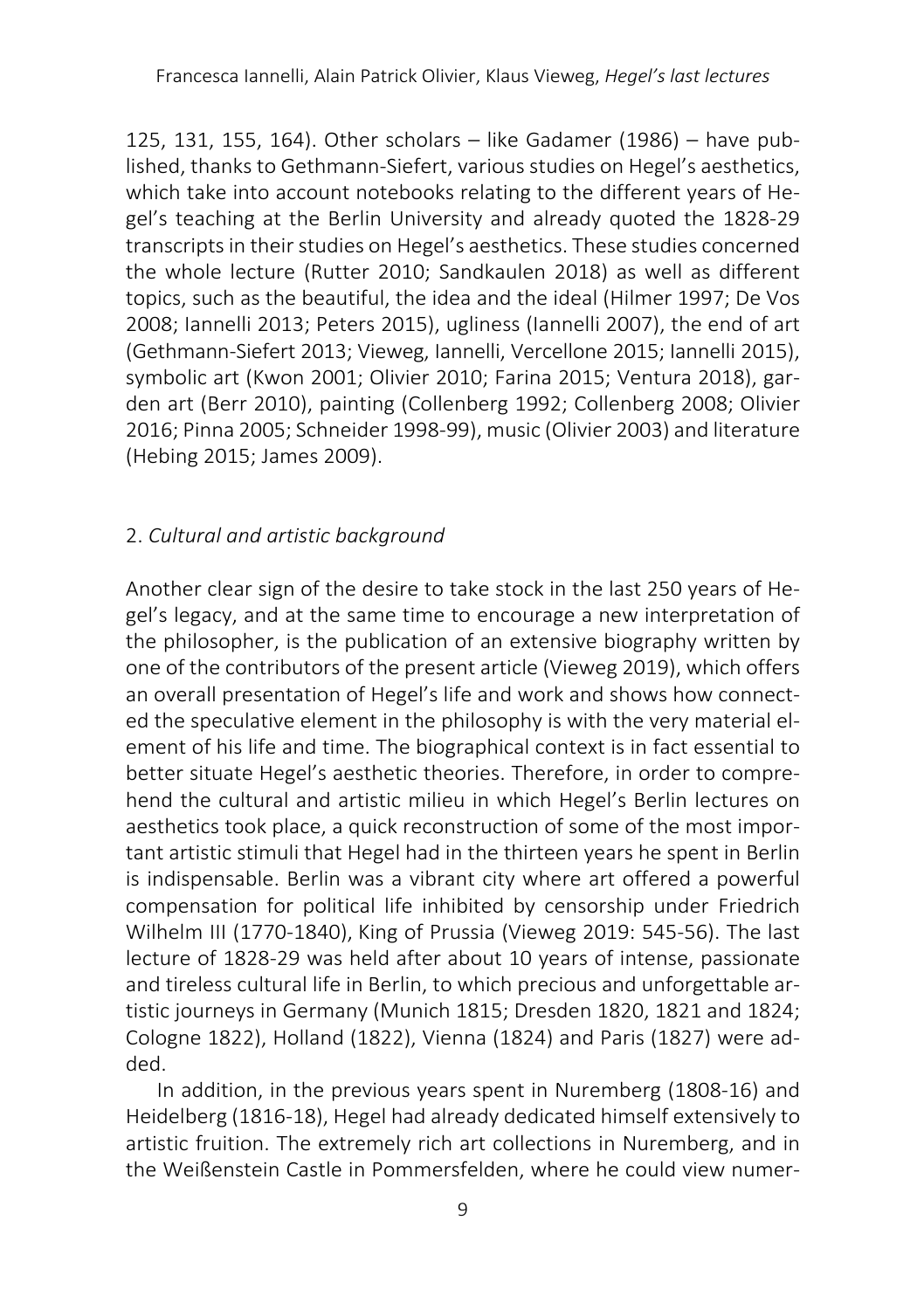125, 131, 155, 164). Other scholars  $-$  like Gadamer (1986)  $-$  have published, thanks to Gethmann-Siefert, various studies on Hegel's aesthetics, which take into account notebooks relating to the different years of Hegel's teaching at the Berlin University and already quoted the 1828-29 transcripts in their studies on Hegel's aesthetics. These studies concerned the whole lecture (Rutter 2010; Sandkaulen 2018) as well as different topics, such as the beautiful, the idea and the ideal (Hilmer 1997; De Vos 2008; Iannelli 2013; Peters 2015), ugliness (Iannelli 2007), the end of art (Gethmann-Siefert 2013; Vieweg, Iannelli, Vercellone 2015; Iannelli 2015), symbolic art (Kwon 2001; Olivier 2010; Farina 2015; Ventura 2018), garden art (Berr 2010), painting (Collenberg 1992; Collenberg 2008; Olivier 2016; Pinna 2005; Schneider 1998-99), music (Olivier 2003) and literature (Hebing 2015; James 2009).

# 2. *Cultural and artistic background*

Another clear sign of the desire to take stock in the last 250 years of Hegel's legacy, and at the same time to encourage a new interpretation of the philosopher, is the publication of an extensive biography written by one of the contributors of the present article (Vieweg 2019), which offers an overall presentation of Hegel's life and work and shows how connected the speculative element in the philosophy is with the very material element of his life and time. The biographical context is in fact essential to better situate Hegel's aesthetic theories. Therefore, in order to comprehend the cultural and artistic milieu in which Hegel's Berlin lectures on aesthetics took place, a quick reconstruction of some of the most important artistic stimuli that Hegel had in the thirteen years he spent in Berlin is indispensable. Berlin was a vibrant city where art offered a powerful compensation for political life inhibited by censorship under Friedrich Wilhelm III (1770-1840), King of Prussia (Vieweg 2019: 545-56). The last lecture of 1828-29 was held after about 10 years of intense, passionate and tireless cultural life in Berlin, to which precious and unforgettable artistic journeys in Germany (Munich 1815; Dresden 1820, 1821 and 1824; Cologne 1822), Holland (1822), Vienna (1824) and Paris (1827) were added.

In addition, in the previous years spent in Nuremberg (1808-16) and Heidelberg (1816-18), Hegel had already dedicated himself extensively to artistic fruition. The extremely rich art collections in Nuremberg, and in the Weißenstein Castle in Pommersfelden, where he could view numer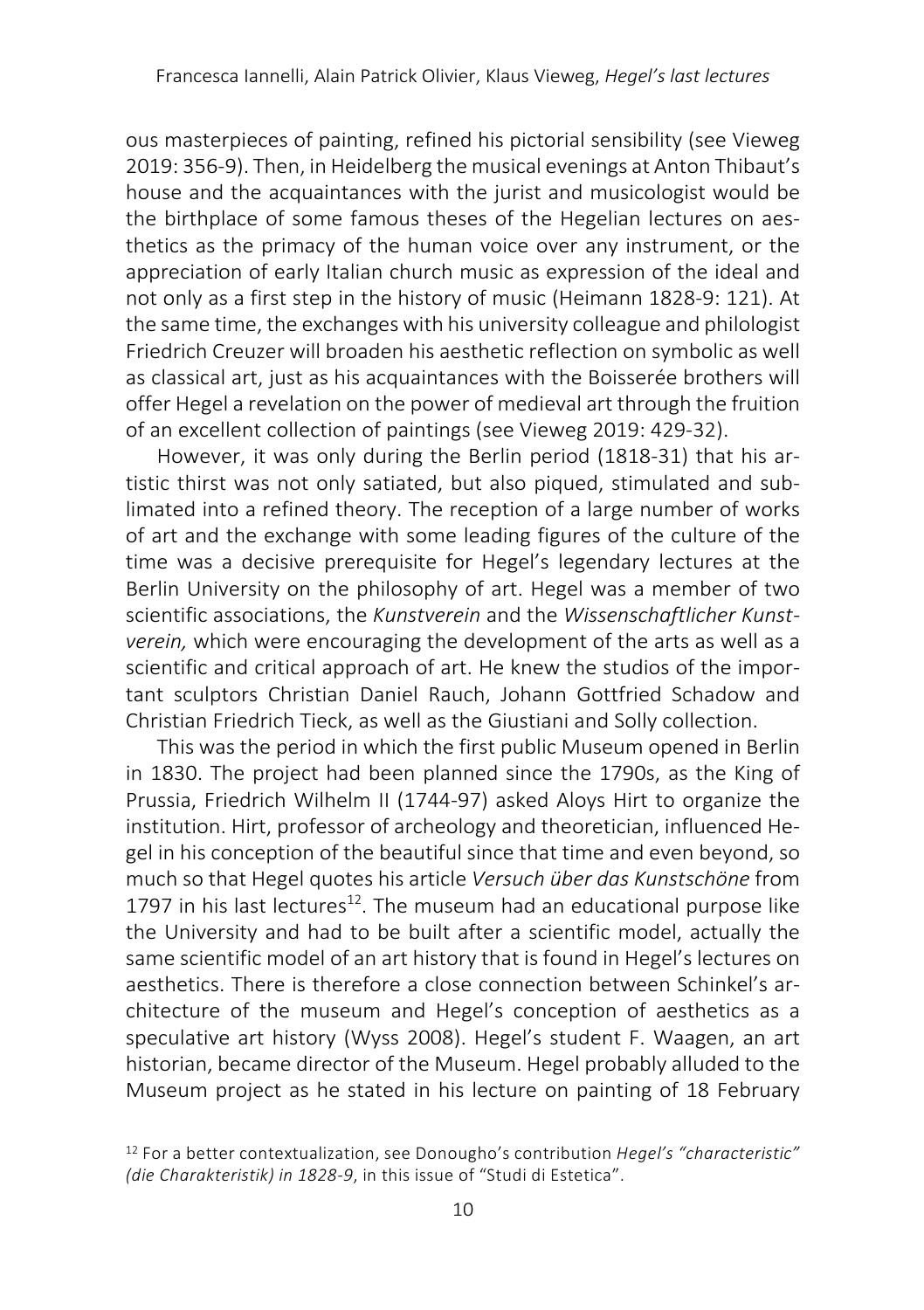ous masterpieces of painting, refined his pictorial sensibility (see Vieweg 2019: 356-9). Then, in Heidelberg the musical evenings at Anton Thibaut's house and the acquaintances with the jurist and musicologist would be the birthplace of some famous theses of the Hegelian lectures on aesthetics as the primacy of the human voice over any instrument, or the appreciation of early Italian church music as expression of the ideal and not only as a first step in the history of music (Heimann 1828-9: 121). At the same time, the exchanges with his university colleague and philologist Friedrich Creuzer will broaden his aesthetic reflection on symbolic as well as classical art, just as his acquaintances with the Boisserée brothers will offer Hegel a revelation on the power of medieval art through the fruition of an excellent collection of paintings (see Vieweg 2019: 429-32).

However, it was only during the Berlin period (1818-31) that his artistic thirst was not only satiated, but also piqued, stimulated and sublimated into a refined theory. The reception of a large number of works of art and the exchange with some leading figures of the culture of the time was a decisive prerequisite for Hegel's legendary lectures at the Berlin University on the philosophy of art. Hegel was a member of two scientific associations, the *Kunstverein* and the *Wissenschaftlicher Kunstverein,* which were encouraging the development of the arts as well as a scientific and critical approach of art. He knew the studios of the important sculptors Christian Daniel Rauch, Johann Gottfried Schadow and Christian Friedrich Tieck, as well as the Giustiani and Solly collection.

This was the period in which the first public Museum opened in Berlin in 1830. The project had been planned since the 1790s, as the King of Prussia, Friedrich Wilhelm II (1744-97) asked Aloys Hirt to organize the institution. Hirt, professor of archeology and theoretician, influenced Hegel in his conception of the beautiful since that time and even beyond, so much so that Hegel quotes his article *Versuch über das Kunstschöne* from 1797 in his last lectures<sup>12</sup>. The museum had an educational purpose like the University and had to be built after a scientific model, actually the same scientific model of an art history that is found in Hegel's lectures on aesthetics. There is therefore a close connection between Schinkel's architecture of the museum and Hegel's conception of aesthetics as a speculative art history (Wyss 2008). Hegel's student F. Waagen, an art historian, became director of the Museum. Hegel probably alluded to the Museum project as he stated in his lecture on painting of 18 February

<sup>12</sup> For a better contextualization, see Donougho's contribution *Hegel's "characteristic" (die Charakteristik) in 1828-9*, in this issue of "Studi di Estetica".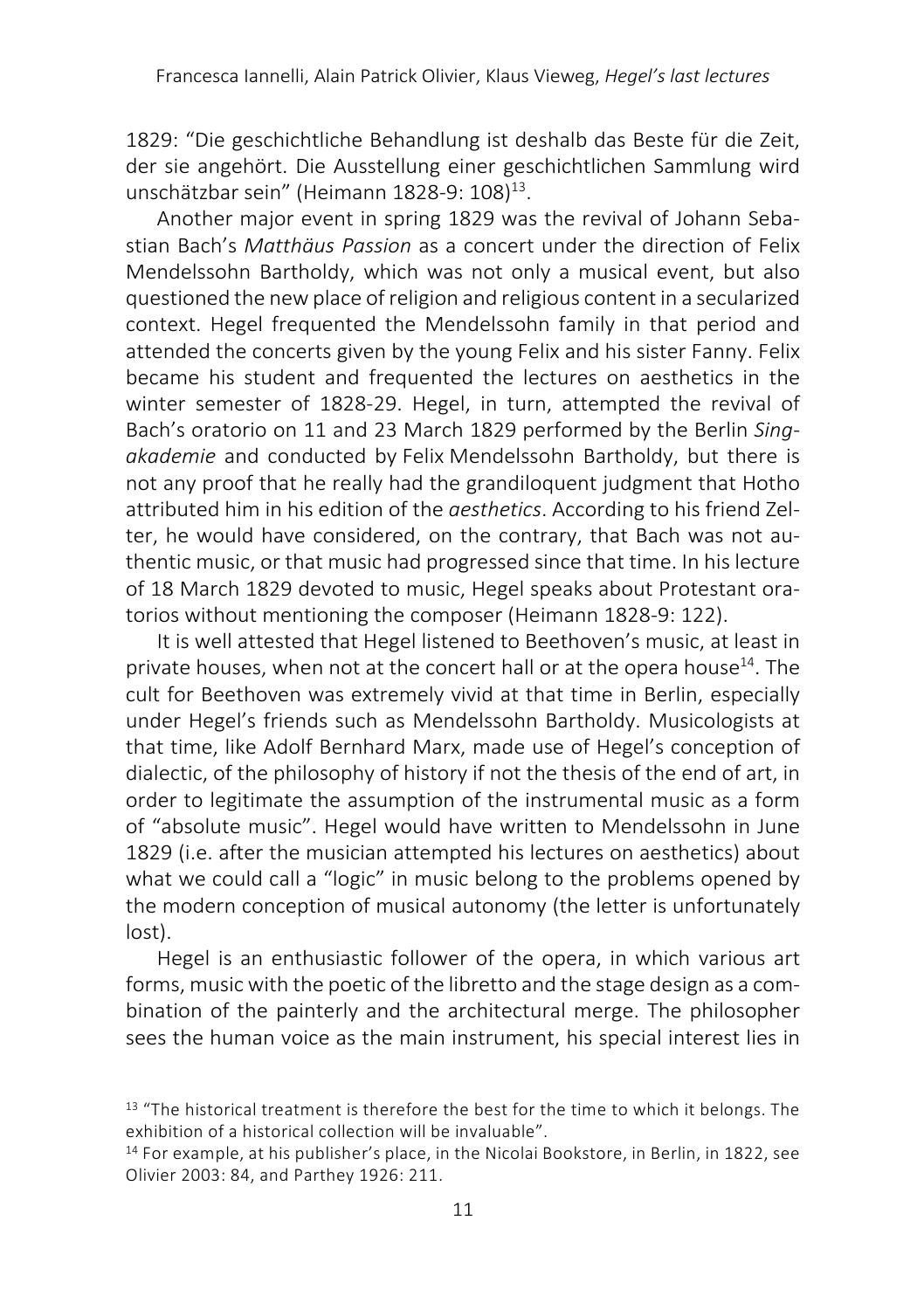1829: "Die geschichtliche Behandlung ist deshalb das Beste für die Zeit, der sie angehört. Die Ausstellung einer geschichtlichen Sammlung wird unschätzbar sein" (Heimann 1828-9: 108)<sup>13</sup>.

Another major event in spring 1829 was the revival of Johann Sebastian Bach's *Matthäus Passion* as a concert under the direction of Felix Mendelssohn Bartholdy, which was not only a musical event, but also questioned the new place of religion and religious content in a secularized context. Hegel frequented the Mendelssohn family in that period and attended the concerts given by the young Felix and his sister Fanny. Felix became his student and frequented the lectures on aesthetics in the winter semester of 1828-29. Hegel, in turn, attempted the revival of Bach's oratorio on 11 and 23 March 1829 performed by the Berlin *Singakademie* and conducted by Felix Mendelssohn Bartholdy, but there is not any proof that he really had the grandiloquent judgment that Hotho attributed him in his edition of the *aesthetics*. According to his friend Zelter, he would have considered, on the contrary, that Bach was not authentic music, or that music had progressed since that time. In his lecture of 18 March 1829 devoted to music, Hegel speaks about Protestant oratorios without mentioning the composer (Heimann 1828-9: 122).

It is well attested that Hegel listened to Beethoven's music, at least in private houses, when not at the concert hall or at the opera house<sup>14</sup>. The cult for Beethoven was extremely vivid at that time in Berlin, especially under Hegel's friends such as Mendelssohn Bartholdy. Musicologists at that time, like Adolf Bernhard Marx, made use of Hegel's conception of dialectic, of the philosophy of history if not the thesis of the end of art, in order to legitimate the assumption of the instrumental music as a form of "absolute music". Hegel would have written to Mendelssohn in June 1829 (i.e. after the musician attempted his lectures on aesthetics) about what we could call a "logic" in music belong to the problems opened by the modern conception of musical autonomy (the letter is unfortunately lost).

Hegel is an enthusiastic follower of the opera, in which various art forms, music with the poetic of the libretto and the stage design as a combination of the painterly and the architectural merge. The philosopher sees the human voice as the main instrument, his special interest lies in

<sup>&</sup>lt;sup>13</sup> "The historical treatment is therefore the best for the time to which it belongs. The exhibition of a historical collection will be invaluable".

<sup>14</sup> For example, at his publisher's place, in the Nicolai Bookstore, in Berlin, in 1822, see Olivier 2003: 84, and Parthey 1926: 211.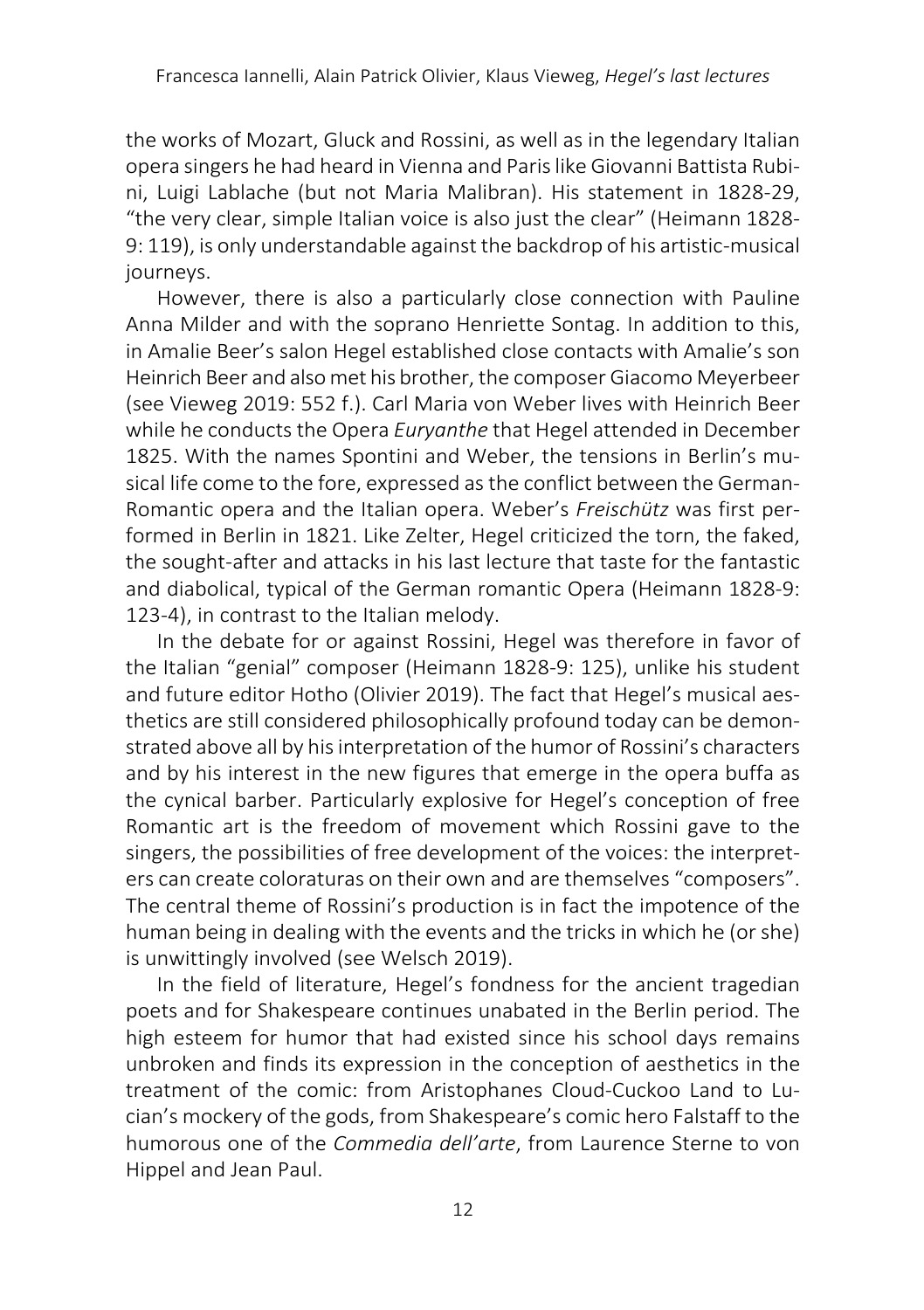the works of Mozart, Gluck and Rossini, as well as in the legendary Italian opera singers he had heard in Vienna and Paris like Giovanni Battista Rubini, Luigi Lablache (but not Maria Malibran). His statement in 1828-29, "the very clear, simple Italian voice is also just the clear" (Heimann 1828- 9: 119), is only understandable against the backdrop of his artistic-musical journeys.

However, there is also a particularly close connection with Pauline Anna Milder and with the soprano Henriette Sontag. In addition to this, in Amalie Beer's salon Hegel established close contacts with Amalie's son Heinrich Beer and also met his brother, the composer Giacomo Meyerbeer (see Vieweg 2019: 552 f.). Carl Maria von Weber lives with Heinrich Beer while he conducts the Opera *Euryanthe* that Hegel attended in December 1825. With the names Spontini and Weber, the tensions in Berlin's musical life come to the fore, expressed as the conflict between the German-Romantic opera and the Italian opera. Weber's *Freischütz* was first performed in Berlin in 1821. Like Zelter, Hegel criticized the torn, the faked, the sought-after and attacks in his last lecture that taste for the fantastic and diabolical, typical of the German romantic Opera (Heimann 1828-9: 123-4), in contrast to the Italian melody.

In the debate for or against Rossini, Hegel was therefore in favor of the Italian "genial" composer (Heimann 1828-9: 125), unlike his student and future editor Hotho (Olivier 2019). The fact that Hegel's musical aesthetics are still considered philosophically profound today can be demonstrated above all by his interpretation of the humor of Rossini's characters and by his interest in the new figures that emerge in the opera buffa as the cynical barber. Particularly explosive for Hegel's conception of free Romantic art is the freedom of movement which Rossini gave to the singers, the possibilities of free development of the voices: the interpreters can create coloraturas on their own and are themselves "composers". The central theme of Rossini's production is in fact the impotence of the human being in dealing with the events and the tricks in which he (or she) is unwittingly involved (see Welsch 2019).

In the field of literature, Hegel's fondness for the ancient tragedian poets and for Shakespeare continues unabated in the Berlin period. The high esteem for humor that had existed since his school days remains unbroken and finds its expression in the conception of aesthetics in the treatment of the comic: from Aristophanes Cloud-Cuckoo Land to Lucian's mockery of the gods, from Shakespeare's comic hero Falstaff to the humorous one of the *Commedia dell'arte*, from Laurence Sterne to von Hippel and Jean Paul.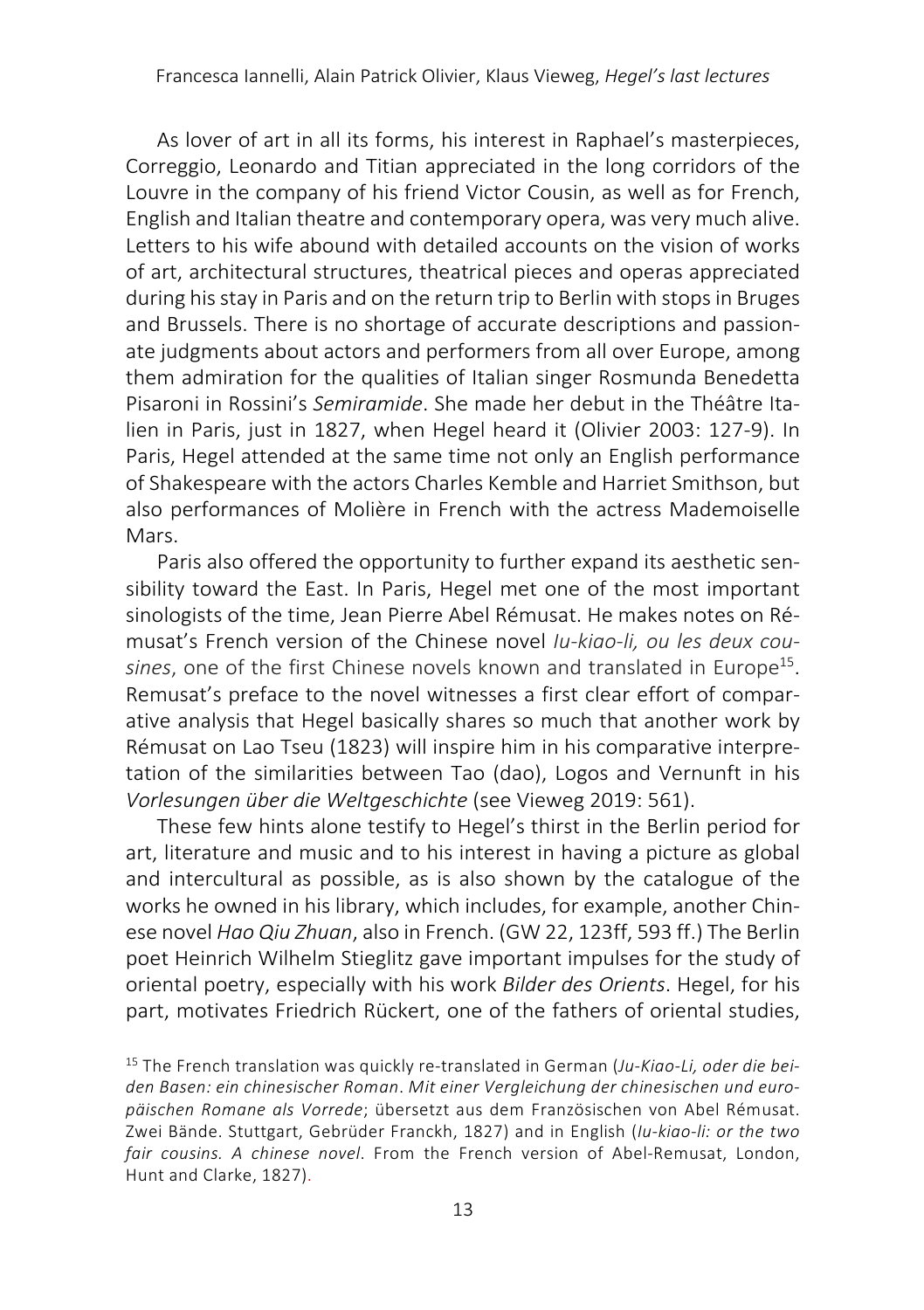As lover of art in all its forms, his interest in Raphael's masterpieces, Correggio, Leonardo and Titian appreciated in the long corridors of the Louvre in the company of his friend Victor Cousin, as well as for French, English and Italian theatre and contemporary opera, was very much alive. Letters to his wife abound with detailed accounts on the vision of works of art, architectural structures, theatrical pieces and operas appreciated during hisstay in Paris and on the return trip to Berlin with stops in Bruges and Brussels. There is no shortage of accurate descriptions and passionate judgments about actors and performers from all over Europe, among them admiration for the qualities of Italian singer Rosmunda Benedetta Pisaroni in Rossini's *Semiramide*. She made her debut in the Théâtre Italien in Paris, just in 1827, when Hegel heard it (Olivier 2003: 127-9). In Paris, Hegel attended at the same time not only an English performance of Shakespeare with the actors Charles Kemble and Harriet Smithson, but also performances of Molière in French with the actress Mademoiselle Mars.

Paris also offered the opportunity to further expand its aesthetic sensibility toward the East. In Paris, Hegel met one of the most important sinologists of the time, Jean Pierre Abel Rémusat. He makes notes on Rémusat's French version of the Chinese novel *Iu-kiao-li, ou les deux cou*sines, one of the first Chinese novels known and translated in Europe<sup>15</sup>. Remusat's preface to the novel witnesses a first clear effort of comparative analysis that Hegel basically shares so much that another work by Rémusat on Lao Tseu (1823) will inspire him in his comparative interpretation of the similarities between Tao (dao), Logos and Vernunft in his *Vorlesungen über die Weltgeschichte* (see Vieweg 2019: 561).

These few hints alone testify to Hegel's thirst in the Berlin period for art, literature and music and to his interest in having a picture as global and intercultural as possible, as is also shown by the catalogue of the works he owned in his library, which includes, for example, another Chinese novel *Hao Qiu Zhuan*, also in French. (GW 22, 123ff, 593 ff.) The Berlin poet Heinrich Wilhelm Stieglitz gave important impulses for the study of oriental poetry, especially with his work *Bilder des Orients*. Hegel, for his part, motivates Friedrich Rückert, one of the fathers of oriental studies,

<sup>15</sup> The French translation was quickly re-translated in German (*Ju-Kiao-Li, oder die beiden Basen: ein chinesischer Roman*. *Mit einer Vergleichung der chinesischen und europäischen Romane als Vorrede*; übersetzt aus dem Französischen von Abel Rémusat. Zwei Bände. Stuttgart, Gebrüder Franckh, 1827) and in English (*Iu-kiao-li: or the two fair cousins. A chinese novel*. From the French version of Abel-Remusat, London, Hunt and Clarke, 1827).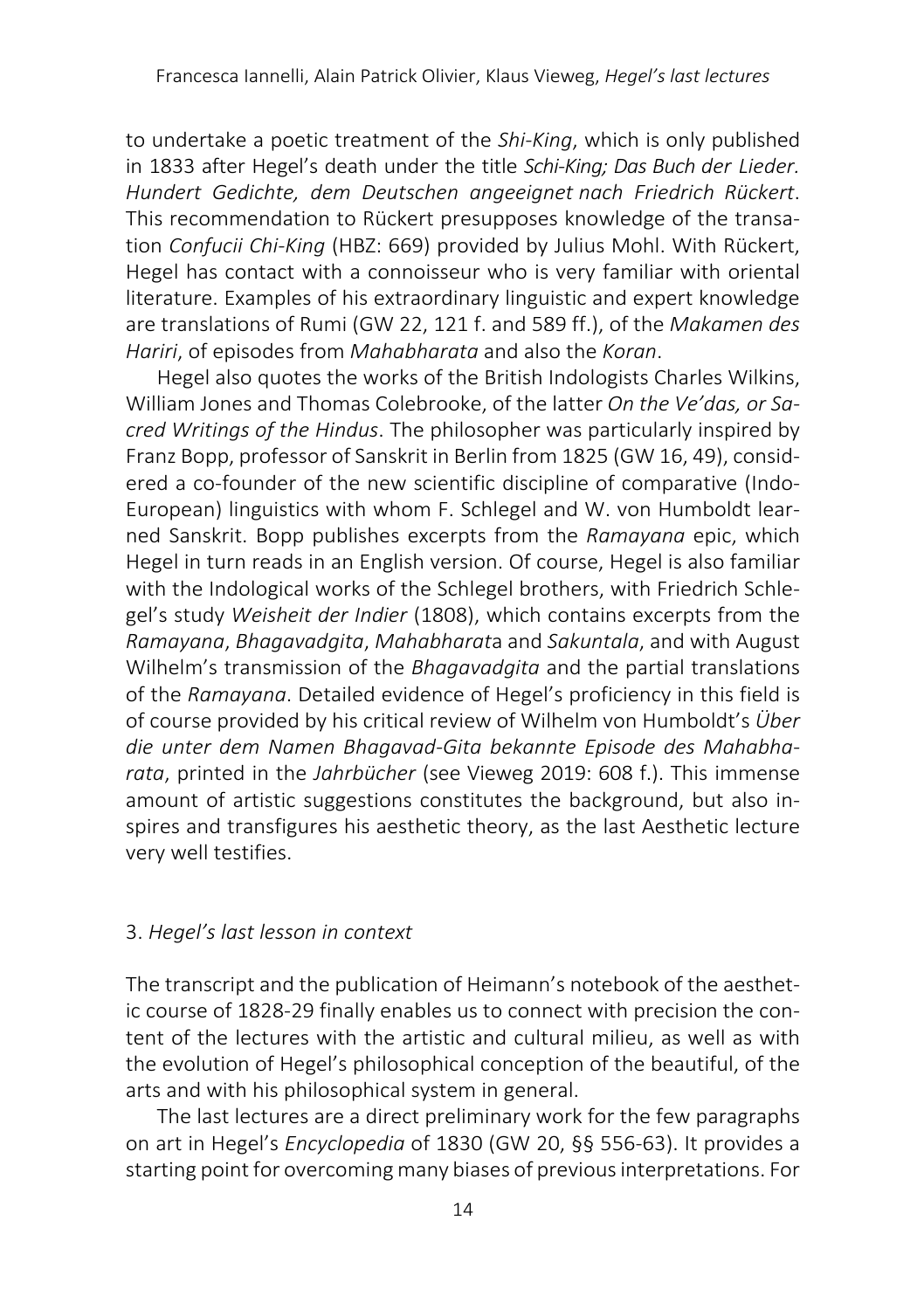to undertake a poetic treatment of the *Shi-King*, which is only published in 1833 after Hegel's death under the title *Schi-King; Das Buch der Lieder. Hundert Gedichte, dem Deutschen angeeignet nach Friedrich Rückert*. This recommendation to Rückert presupposes knowledge of the transation *Confucii Chi-King* (HBZ: 669) provided by Julius Mohl. With Rückert, Hegel has contact with a connoisseur who is very familiar with oriental literature. Examples of his extraordinary linguistic and expert knowledge are translations of Rumi (GW 22, 121 f. and 589 ff.), of the *Makamen des Hariri*, of episodes from *Mahabharata* and also the *Koran*.

Hegel also quotes the works of the British Indologists Charles Wilkins, William Jones and Thomas Colebrooke, of the latter *On the Ve'das, or Sacred Writings of the Hindus*. The philosopher was particularly inspired by Franz Bopp, professor of Sanskrit in Berlin from 1825 (GW 16, 49), considered a co-founder of the new scientific discipline of comparative (Indo-European) linguistics with whom F. Schlegel and W. von Humboldt learned Sanskrit. Bopp publishes excerpts from the *Ramayana* epic, which Hegel in turn reads in an English version. Of course, Hegel is also familiar with the Indological works of the Schlegel brothers, with Friedrich Schlegel's study *Weisheit der Indier* (1808), which contains excerpts from the *Ramayana*, *Bhagavadgita*, *Mahabharat*a and *Sakuntala*, and with August Wilhelm's transmission of the *Bhagavadgita* and the partial translations of the *Ramayana*. Detailed evidence of Hegel's proficiency in this field is of course provided by his critical review of Wilhelm von Humboldt's *Über die unter dem Namen Bhagavad-Gita bekannte Episode des Mahabharata*, printed in the *Jahrbücher* (see Vieweg 2019: 608 f.). This immense amount of artistic suggestions constitutes the background, but also inspires and transfigures his aesthetic theory, as the last Aesthetic lecture very well testifies.

# 3. *Hegel's last lesson in context*

The transcript and the publication of Heimann's notebook of the aesthetic course of 1828-29 finally enables us to connect with precision the content of the lectures with the artistic and cultural milieu, as well as with the evolution of Hegel's philosophical conception of the beautiful, of the arts and with his philosophical system in general.

The last lectures are a direct preliminary work for the few paragraphs on art in Hegel's *Encyclopedia* of 1830 (GW 20, §§ 556-63). It provides a starting point for overcoming many biases of previous interpretations. For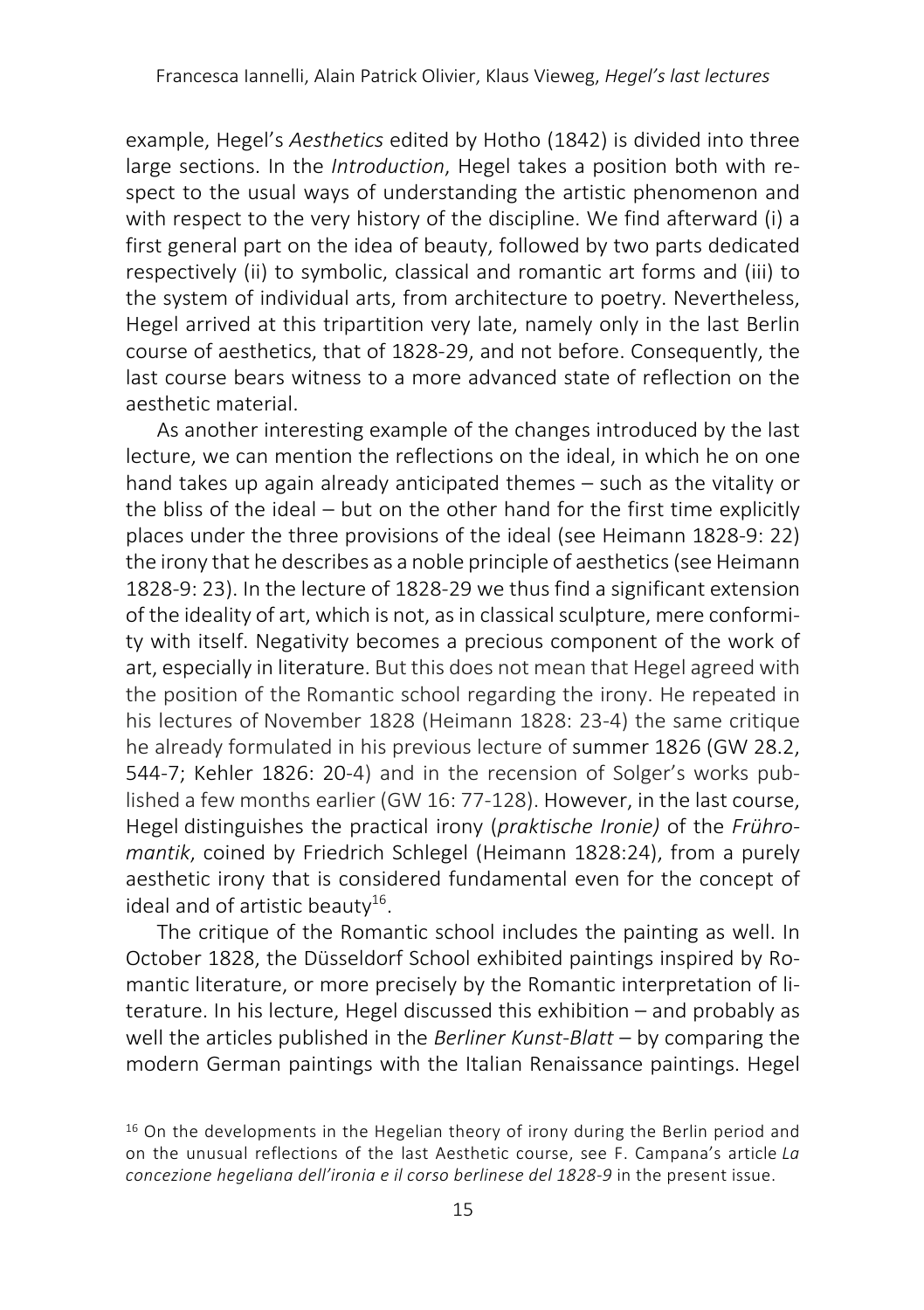example, Hegel's *Aesthetics* edited by Hotho (1842) is divided into three large sections. In the *Introduction*, Hegel takes a position both with respect to the usual ways of understanding the artistic phenomenon and with respect to the very history of the discipline. We find afterward (i) a first general part on the idea of beauty, followed by two parts dedicated respectively (ii) to symbolic, classical and romantic art forms and (iii) to the system of individual arts, from architecture to poetry. Nevertheless, Hegel arrived at this tripartition very late, namely only in the last Berlin course of aesthetics, that of 1828-29, and not before. Consequently, the last course bears witness to a more advanced state of reflection on the aesthetic material.

As another interesting example of the changes introduced by the last lecture, we can mention the reflections on the ideal, in which he on one hand takes up again already anticipated themes – such as the vitality or the bliss of the ideal – but on the other hand for the first time explicitly places under the three provisions of the ideal (see Heimann 1828-9: 22) the irony that he describes as a noble principle of aesthetics (see Heimann 1828-9: 23). In the lecture of 1828-29 we thus find a significant extension of the ideality of art, which is not, as in classical sculpture, mere conformity with itself. Negativity becomes a precious component of the work of art, especially in literature. But this does not mean that Hegel agreed with the position of the Romantic school regarding the irony. He repeated in his lectures of November 1828 (Heimann 1828: 23-4) the same critique he already formulated in his previous lecture of summer 1826 (GW 28.2, 544-7; Kehler 1826: 20-4) and in the recension of Solger's works published a few months earlier (GW 16: 77-128). However, in the last course, Hegel distinguishes the practical irony (*praktische Ironie)* of the *Frühromantik*, coined by Friedrich Schlegel (Heimann 1828:24), from a purely aesthetic irony that is considered fundamental even for the concept of ideal and of artistic beauty $16$ .

The critique of the Romantic school includes the painting as well. In October 1828, the Düsseldorf School exhibited paintings inspired by Romantic literature, or more precisely by the Romantic interpretation of literature. In his lecture, Hegel discussed this exhibition – and probably as well the articles published in the *Berliner Kunst-Blatt* – by comparing the modern German paintings with the Italian Renaissance paintings. Hegel

 $16$  On the developments in the Hegelian theory of irony during the Berlin period and on the unusual reflections of the last Aesthetic course, see F. Campana's article *La concezione hegeliana dell'ironia e il corso berlinese del 1828-9* in the present issue.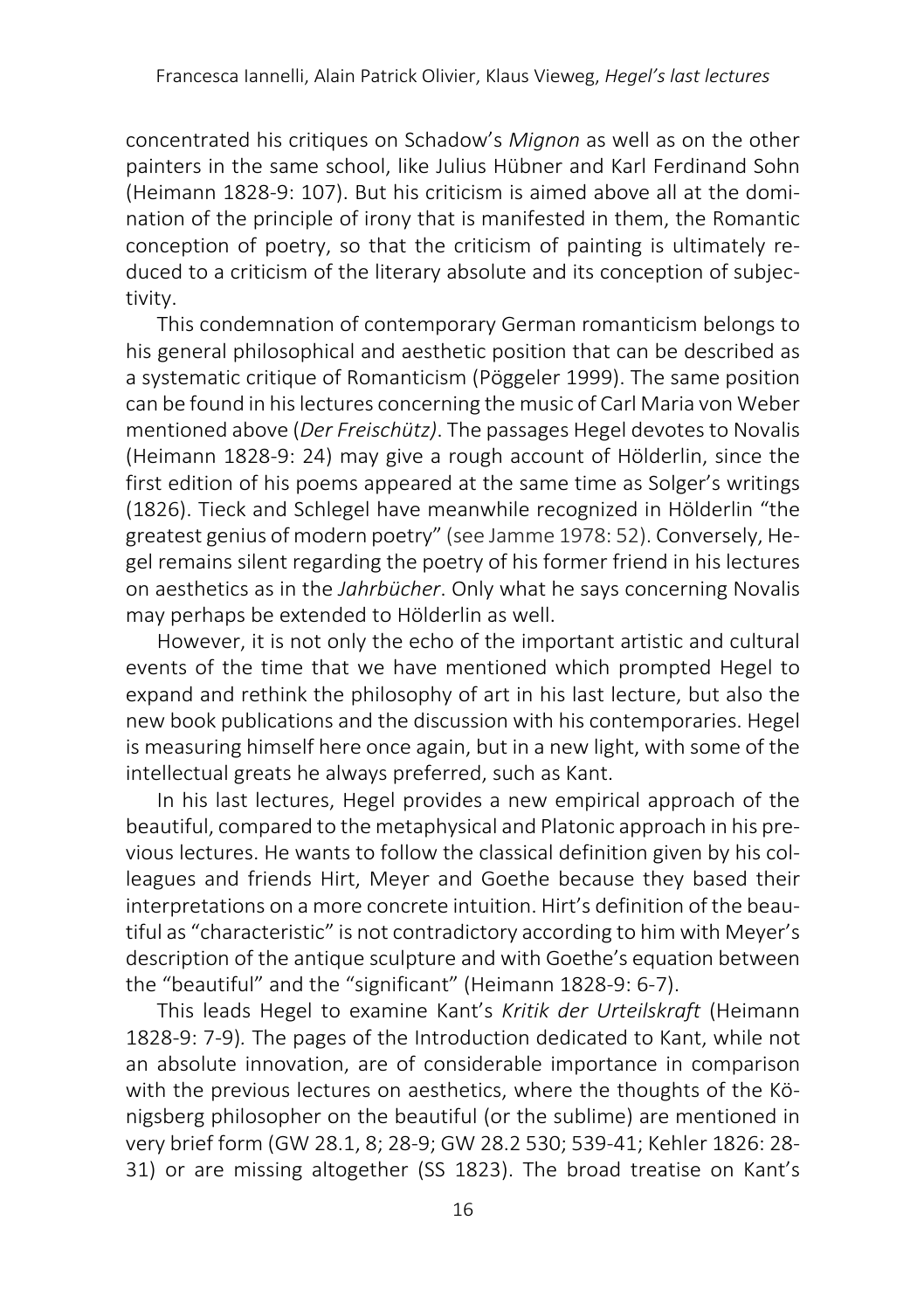concentrated his critiques on Schadow's *Mignon* as well as on the other painters in the same school, like Julius Hübner and Karl Ferdinand Sohn (Heimann 1828-9: 107). But his criticism is aimed above all at the domination of the principle of irony that is manifested in them, the Romantic conception of poetry, so that the criticism of painting is ultimately reduced to a criticism of the literary absolute and its conception of subjectivity.

This condemnation of contemporary German romanticism belongs to his general philosophical and aesthetic position that can be described as a systematic critique of Romanticism (Pöggeler 1999). The same position can be found in his lectures concerning the music of Carl Maria von Weber mentioned above (*Der Freischütz)*. The passages Hegel devotes to Novalis (Heimann 1828-9: 24) may give a rough account of Hölderlin, since the first edition of his poems appeared at the same time as Solger's writings (1826). Tieck and Schlegel have meanwhile recognized in Hölderlin "the greatest genius of modern poetry" (see Jamme 1978: 52). Conversely, Hegel remains silent regarding the poetry of his former friend in his lectures on aesthetics as in the *Jahrbücher*. Only what he says concerning Novalis may perhaps be extended to Hölderlin as well.

However, it is not only the echo of the important artistic and cultural events of the time that we have mentioned which prompted Hegel to expand and rethink the philosophy of art in his last lecture, but also the new book publications and the discussion with his contemporaries. Hegel is measuring himself here once again, but in a new light, with some of the intellectual greats he always preferred, such as Kant.

In his last lectures, Hegel provides a new empirical approach of the beautiful, compared to the metaphysical and Platonic approach in his previous lectures. He wants to follow the classical definition given by his colleagues and friends Hirt, Meyer and Goethe because they based their interpretations on a more concrete intuition. Hirt's definition of the beautiful as "characteristic" is not contradictory according to him with Meyer's description of the antique sculpture and with Goethe's equation between the "beautiful" and the "significant" (Heimann 1828-9: 6-7).

This leads Hegel to examine Kant's *Kritik der Urteilskraft* (Heimann 1828-9: 7-9)*.* The pages of the Introduction dedicated to Kant, while not an absolute innovation, are of considerable importance in comparison with the previous lectures on aesthetics, where the thoughts of the Königsberg philosopher on the beautiful (or the sublime) are mentioned in very brief form (GW 28.1, 8; 28-9; GW 28.2 530; 539-41; Kehler 1826: 28- 31) or are missing altogether (SS 1823). The broad treatise on Kant's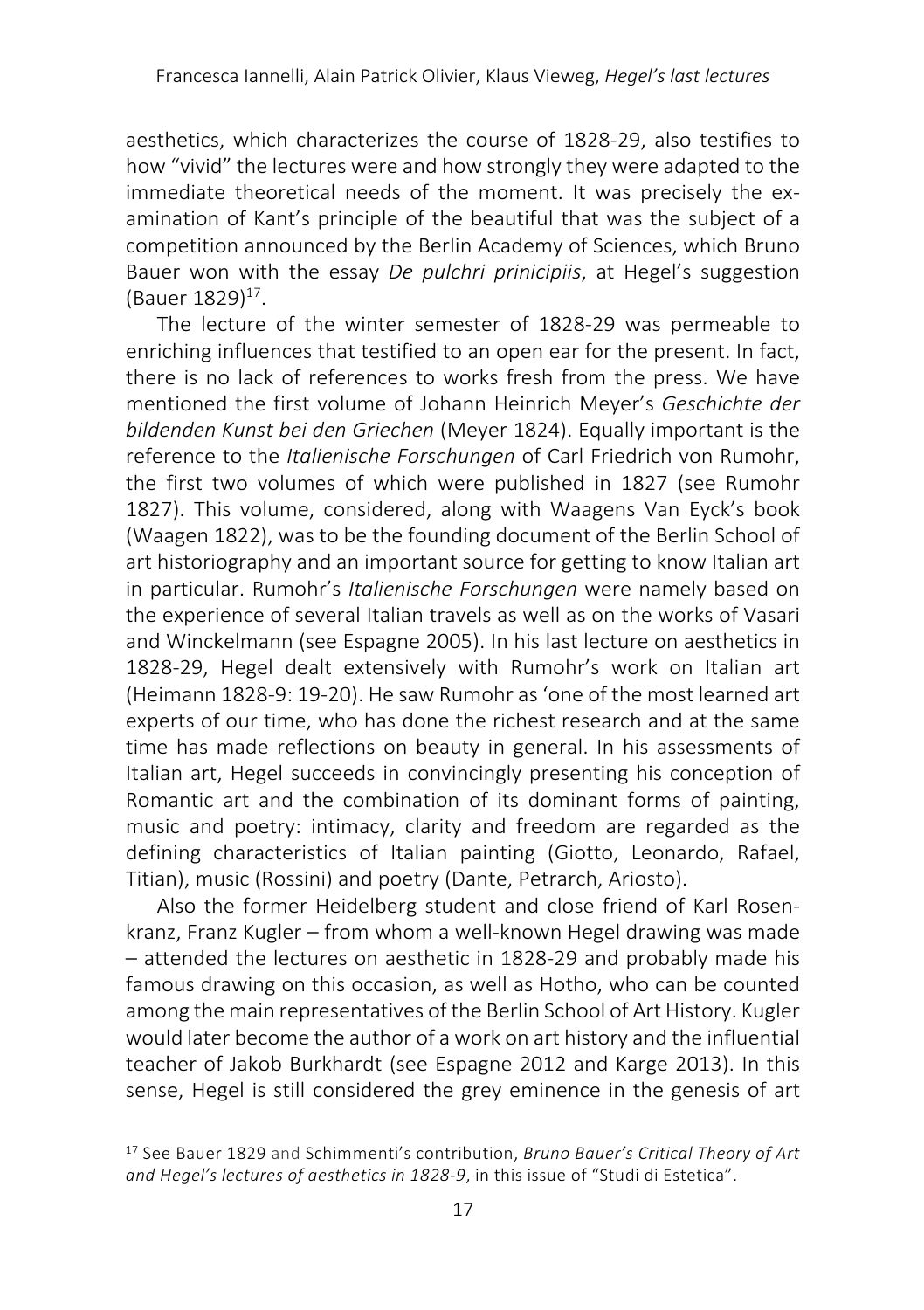aesthetics, which characterizes the course of 1828-29, also testifies to how "vivid" the lectures were and how strongly they were adapted to the immediate theoretical needs of the moment. It was precisely the examination of Kant's principle of the beautiful that was the subject of a competition announced by the Berlin Academy of Sciences, which Bruno Bauer won with the essay *De pulchri prinicipiis*, at Hegel's suggestion (Bauer  $1829$ )<sup>17</sup>.

The lecture of the winter semester of 1828-29 was permeable to enriching influences that testified to an open ear for the present. In fact, there is no lack of references to works fresh from the press. We have mentioned the first volume of Johann Heinrich Meyer's *Geschichte der bildenden Kunst bei den Griechen* (Meyer 1824). Equally important is the reference to the *Italienische Forschungen* of Carl Friedrich von Rumohr, the first two volumes of which were published in 1827 (see Rumohr 1827). This volume, considered, along with Waagens Van Eyck's book (Waagen 1822), was to be the founding document of the Berlin School of art historiography and an important source for getting to know Italian art in particular. Rumohr's *Italienische Forschungen* were namely based on the experience of several Italian travels as well as on the works of Vasari and Winckelmann (see Espagne 2005). In his last lecture on aesthetics in 1828-29, Hegel dealt extensively with Rumohr's work on Italian art (Heimann 1828-9: 19-20). He saw Rumohr as 'one of the most learned art experts of our time, who has done the richest research and at the same time has made reflections on beauty in general. In his assessments of Italian art, Hegel succeeds in convincingly presenting his conception of Romantic art and the combination of its dominant forms of painting, music and poetry: intimacy, clarity and freedom are regarded as the defining characteristics of Italian painting (Giotto, Leonardo, Rafael, Titian), music (Rossini) and poetry (Dante, Petrarch, Ariosto).

Also the former Heidelberg student and close friend of Karl Rosenkranz, Franz Kugler – from whom a well-known Hegel drawing was made – attended the lectures on aesthetic in 1828-29 and probably made his famous drawing on this occasion, as well as Hotho, who can be counted among the main representatives of the Berlin School of Art History. Kugler would later become the author of a work on art history and the influential teacher of Jakob Burkhardt (see Espagne 2012 and Karge 2013). In this sense, Hegel is still considered the grey eminence in the genesis of art

<sup>17</sup> See Bauer 1829 and Schimmenti's contribution, *Bruno Bauer's Critical Theory of Art and Hegel's lectures of aesthetics in 1828-9*, in this issue of "Studi di Estetica".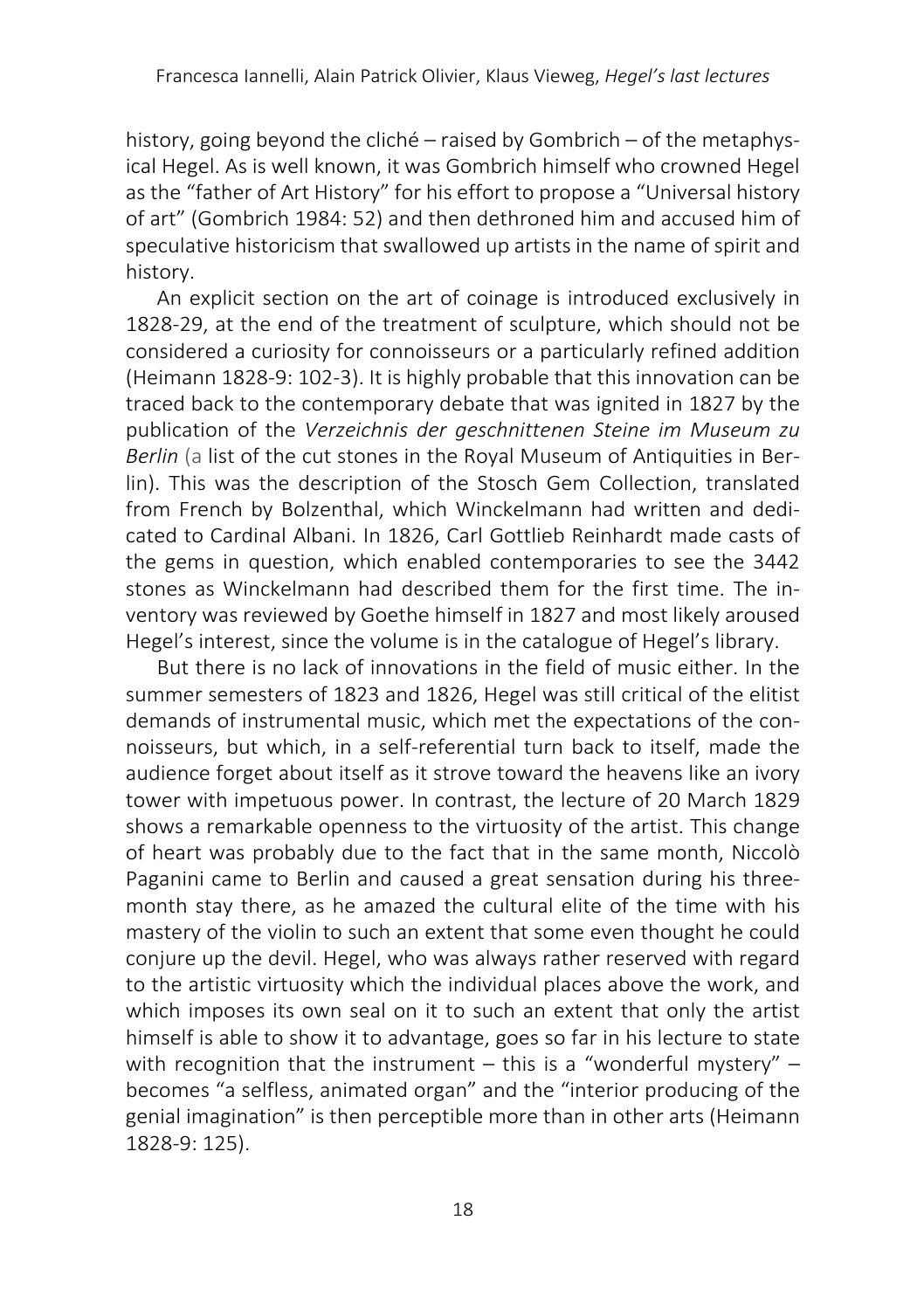history, going beyond the cliché – raised by Gombrich – of the metaphysical Hegel. As is well known, it was Gombrich himself who crowned Hegel as the "father of Art History" for his effort to propose a "Universal history of art" (Gombrich 1984: 52) and then dethroned him and accused him of speculative historicism that swallowed up artists in the name of spirit and history.

An explicit section on the art of coinage is introduced exclusively in 1828-29, at the end of the treatment of sculpture, which should not be considered a curiosity for connoisseurs or a particularly refined addition (Heimann 1828-9: 102-3). It is highly probable that this innovation can be traced back to the contemporary debate that was ignited in 1827 by the publication of the *Verzeichnis der geschnittenen Steine im Museum zu Berlin* (a list of the cut stones in the Royal Museum of Antiquities in Berlin). This was the description of the Stosch Gem Collection, translated from French by Bolzenthal, which Winckelmann had written and dedicated to Cardinal Albani. In 1826, Carl Gottlieb Reinhardt made casts of the gems in question, which enabled contemporaries to see the 3442 stones as Winckelmann had described them for the first time. The inventory was reviewed by Goethe himself in 1827 and most likely aroused Hegel's interest, since the volume is in the catalogue of Hegel's library.

But there is no lack of innovations in the field of music either. In the summer semesters of 1823 and 1826, Hegel was still critical of the elitist demands of instrumental music, which met the expectations of the connoisseurs, but which, in a self-referential turn back to itself, made the audience forget about itself as it strove toward the heavens like an ivory tower with impetuous power. In contrast, the lecture of 20 March 1829 shows a remarkable openness to the virtuosity of the artist. This change of heart was probably due to the fact that in the same month, Niccolò Paganini came to Berlin and caused a great sensation during his threemonth stay there, as he amazed the cultural elite of the time with his mastery of the violin to such an extent that some even thought he could conjure up the devil. Hegel, who was always rather reserved with regard to the artistic virtuosity which the individual places above the work, and which imposes its own seal on it to such an extent that only the artist himself is able to show it to advantage, goes so far in his lecture to state with recognition that the instrument – this is a "wonderful mystery" – becomes "a selfless, animated organ" and the "interior producing of the genial imagination" is then perceptible more than in other arts (Heimann 1828-9: 125).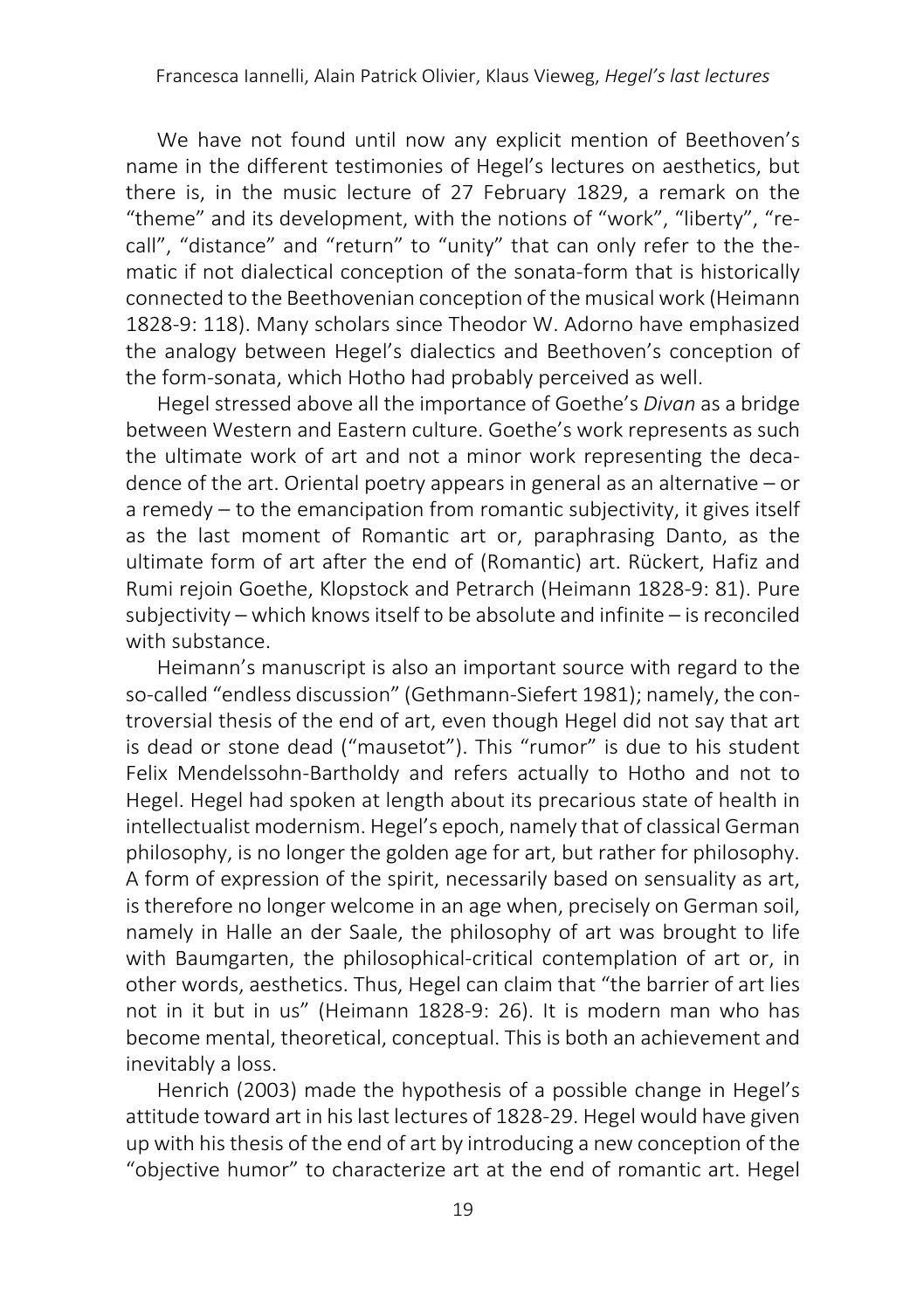We have not found until now any explicit mention of Beethoven's name in the different testimonies of Hegel's lectures on aesthetics, but there is, in the music lecture of 27 February 1829, a remark on the "theme" and its development, with the notions of "work", "liberty", "recall", "distance" and "return" to "unity" that can only refer to the thematic if not dialectical conception of the sonata-form that is historically connected to the Beethovenian conception of the musical work (Heimann 1828-9: 118). Many scholars since Theodor W. Adorno have emphasized the analogy between Hegel's dialectics and Beethoven's conception of the form-sonata, which Hotho had probably perceived as well.

Hegel stressed above all the importance of Goethe's *Divan* as a bridge between Western and Eastern culture. Goethe's work represents as such the ultimate work of art and not a minor work representing the decadence of the art. Oriental poetry appears in general as an alternative – or a remedy  $-$  to the emancipation from romantic subjectivity, it gives itself as the last moment of Romantic art or, paraphrasing Danto, as the ultimate form of art after the end of (Romantic) art. Rückert, Hafiz and Rumi rejoin Goethe, Klopstock and Petrarch (Heimann 1828-9: 81). Pure subjectivity – which knows itself to be absolute and infinite – is reconciled with substance.

Heimann's manuscript is also an important source with regard to the so-called "endless discussion" (Gethmann-Siefert 1981); namely, the controversial thesis of the end of art, even though Hegel did not say that art is dead or stone dead ("mausetot"). This "rumor" is due to his student Felix Mendelssohn-Bartholdy and refers actually to Hotho and not to Hegel. Hegel had spoken at length about its precarious state of health in intellectualist modernism. Hegel's epoch, namely that of classical German philosophy, is no longer the golden age for art, but rather for philosophy. A form of expression of the spirit, necessarily based on sensuality as art, is therefore no longer welcome in an age when, precisely on German soil, namely in Halle an der Saale, the philosophy of art was brought to life with Baumgarten, the philosophical-critical contemplation of art or, in other words, aesthetics. Thus, Hegel can claim that "the barrier of art lies not in it but in us" (Heimann 1828-9: 26). It is modern man who has become mental, theoretical, conceptual. This is both an achievement and inevitably a loss.

Henrich (2003) made the hypothesis of a possible change in Hegel's attitude toward art in his last lectures of 1828-29. Hegel would have given up with his thesis of the end of art by introducing a new conception of the "objective humor" to characterize art at the end of romantic art. Hegel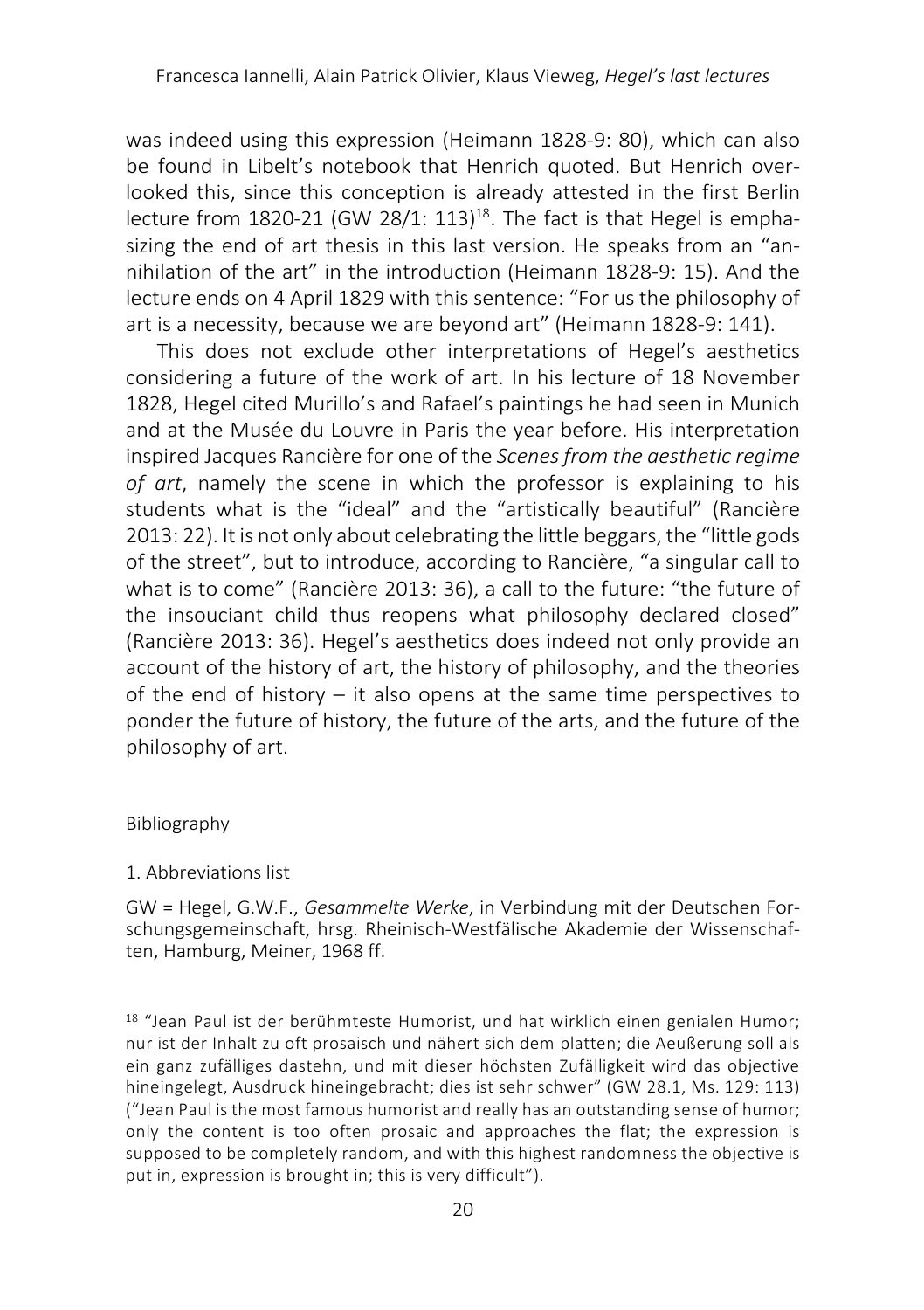was indeed using this expression (Heimann 1828-9: 80), which can also be found in Libelt's notebook that Henrich quoted. But Henrich overlooked this, since this conception is already attested in the first Berlin lecture from  $1820-21$  (GW  $28/1: 113$ )<sup>18</sup>. The fact is that Hegel is emphasizing the end of art thesis in this last version. He speaks from an "annihilation of the art" in the introduction (Heimann 1828-9: 15). And the lecture ends on 4 April 1829 with this sentence: "For us the philosophy of art is a necessity, because we are beyond art" (Heimann 1828-9: 141).

This does not exclude other interpretations of Hegel's aesthetics considering a future of the work of art. In his lecture of 18 November 1828, Hegel cited Murillo's and Rafael's paintings he had seen in Munich and at the Musée du Louvre in Paris the year before. His interpretation inspired Jacques Rancière for one of the *Scenes from the aesthetic regime of art*, namely the scene in which the professor is explaining to his students what is the "ideal" and the "artistically beautiful" (Rancière 2013: 22). It is not only about celebrating the little beggars, the "little gods of the street", but to introduce, according to Rancière, "a singular call to what is to come" (Rancière 2013: 36), a call to the future: "the future of the insouciant child thus reopens what philosophy declared closed" (Rancière 2013: 36). Hegel's aesthetics does indeed not only provide an account of the history of art, the history of philosophy, and the theories of the end of history  $-$  it also opens at the same time perspectives to ponder the future of history, the future of the arts, and the future of the philosophy of art.

#### Bibliography

#### 1. Abbreviations list

GW = Hegel, G.W.F., *Gesammelte Werke*, in Verbindung mit der Deutschen Forschungsgemeinschaft, hrsg. Rheinisch-Westfälische Akademie der Wissenschaften, Hamburg, Meiner, 1968 ff.

<sup>18</sup> "Jean Paul ist der berühmteste Humorist, und hat wirklich einen genialen Humor; nur ist der Inhalt zu oft prosaisch und nähert sich dem platten; die Aeußerung soll als ein ganz zufälliges dastehn, und mit dieser höchsten Zufälligkeit wird das objective hineingelegt, Ausdruck hineingebracht; dies ist sehr schwer" (GW 28.1, Ms. 129: 113) ("Jean Paul is the most famous humorist and really has an outstanding sense of humor; only the content is too often prosaic and approaches the flat; the expression is supposed to be completely random, and with this highest randomness the objective is put in, expression is brought in; this is very difficult").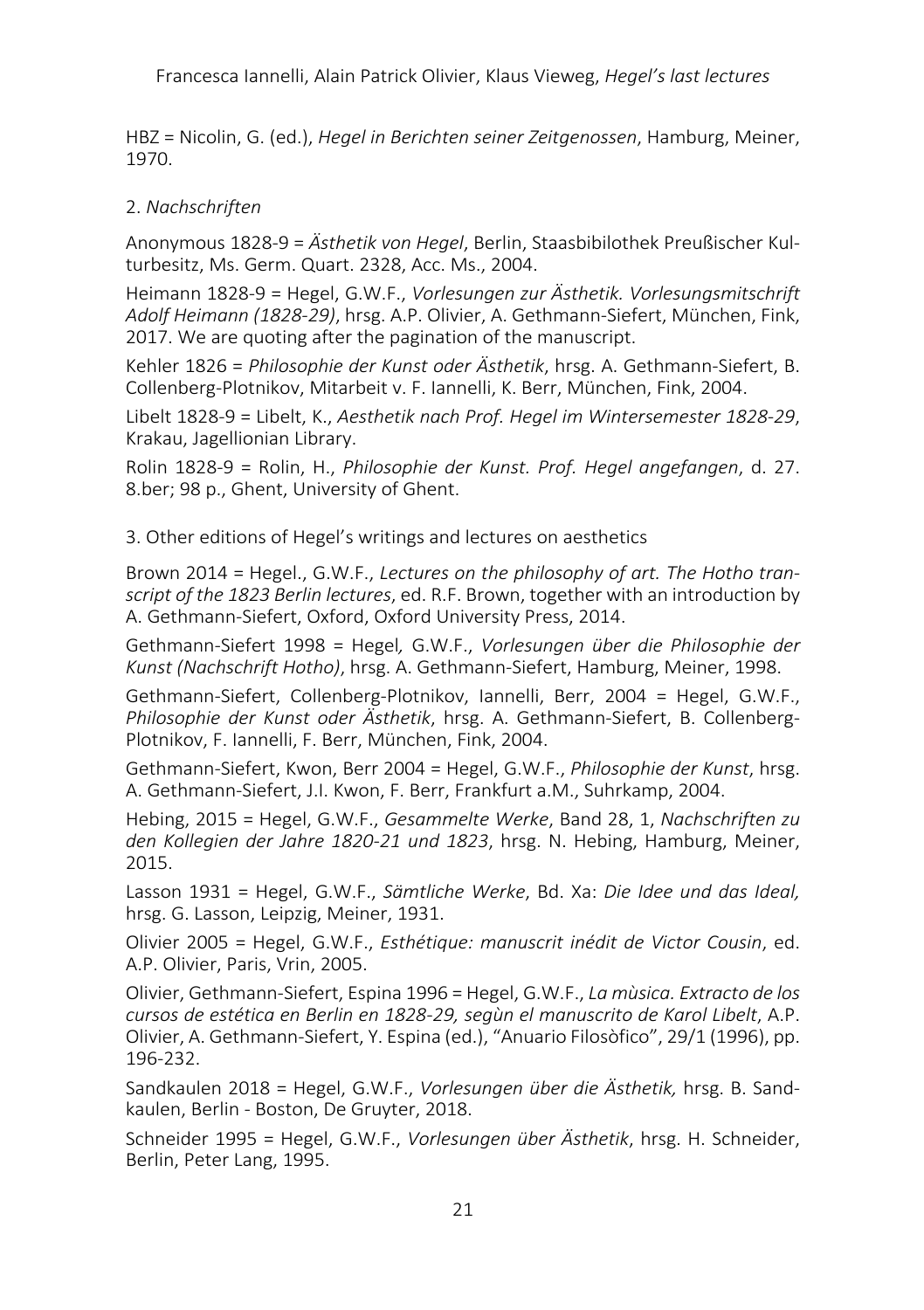Francesca Iannelli, Alain Patrick Olivier, Klaus Vieweg, *Hegel's last lectures*

HBZ = Nicolin, G. (ed.), *Hegel in Berichten seiner Zeitgenossen*, Hamburg, Meiner, 1970.

# 2. *Nachschriften*

Anonymous 1828-9 = *Ästhetik von Hegel*, Berlin, Staasbibilothek Preußischer Kulturbesitz, Ms. Germ. Quart. 2328, Acc. Ms., 2004.

Heimann 1828-9 = Hegel, G.W.F., *Vorlesungen zur Ästhetik. Vorlesungsmitschrift Adolf Heimann (1828-29)*, hrsg. A.P. Olivier, A. Gethmann-Siefert, München, Fink, 2017. We are quoting after the pagination of the manuscript.

Kehler 1826 = *Philosophie der Kunst oder Ästhetik*, hrsg. A. Gethmann-Siefert, B. Collenberg-Plotnikov, Mitarbeit v. F. Iannelli, K. Berr, München, Fink, 2004.

Libelt 1828-9 = Libelt, K., *Aesthetik nach Prof. Hegel im Wintersemester 1828-29*, Krakau, Jagellionian Library.

Rolin 1828-9 = Rolin, H., *Philosophie der Kunst. Prof. Hegel angefangen*, d. 27. 8.ber; 98 p., Ghent, University of Ghent.

3. Other editions of Hegel's writings and lectures on aesthetics

Brown 2014 = Hegel., G.W.F., *Lectures on the philosophy of art. The Hotho transcript of the 1823 Berlin lectures*, ed. R.F. Brown, together with an introduction by A. Gethmann-Siefert, Oxford, Oxford University Press, 2014.

Gethmann-Siefert 1998 = Hegel*,* G.W.F., *Vorlesungen über die Philosophie der Kunst (Nachschrift Hotho)*, hrsg. A. Gethmann-Siefert, Hamburg, Meiner, 1998.

Gethmann-Siefert, Collenberg-Plotnikov, Iannelli, Berr, 2004 = Hegel, G.W.F., *Philosophie der Kunst oder Ästhetik*, hrsg. A. Gethmann-Siefert, B. Collenberg-Plotnikov, F. Iannelli, F. Berr, München, Fink, 2004.

Gethmann-Siefert, Kwon, Berr 2004 = Hegel, G.W.F., *Philosophie der Kunst*, hrsg. A. Gethmann-Siefert, J.I. Kwon, F. Berr, Frankfurt a.M., Suhrkamp, 2004.

Hebing, 2015 = Hegel, G.W.F., *Gesammelte Werke*, Band 28, 1, *Nachschriften zu den Kollegien der Jahre 1820-21 und 1823*, hrsg. N. Hebing, Hamburg, Meiner, 2015.

Lasson 1931 = Hegel, G.W.F., *Sämtliche Werke*, Bd. Xa: *Die Idee und das Ideal,* hrsg. G. Lasson, Leipzig, Meiner, 1931.

Olivier 2005 = Hegel, G.W.F., *Esthétique: manuscrit inédit de Victor Cousin*, ed. A.P. Olivier, Paris, Vrin, 2005.

Olivier, Gethmann-Siefert, Espina 1996 = Hegel, G.W.F., *La mùsica. Extracto de los cursos de estética en Berlin en 1828-29, segùn el manuscrito de Karol Libelt*, A.P. Olivier, A. Gethmann-Siefert, Y. Espina (ed.), "Anuario Filosòfico", 29/1 (1996), pp. 196-232.

Sandkaulen 2018 = Hegel, G.W.F., *Vorlesungen über die Ästhetik,* hrsg. B. Sandkaulen, Berlin - Boston, De Gruyter, 2018.

Schneider 1995 = Hegel, G.W.F., *Vorlesungen über Ästhetik*, hrsg. H. Schneider, Berlin, Peter Lang, 1995.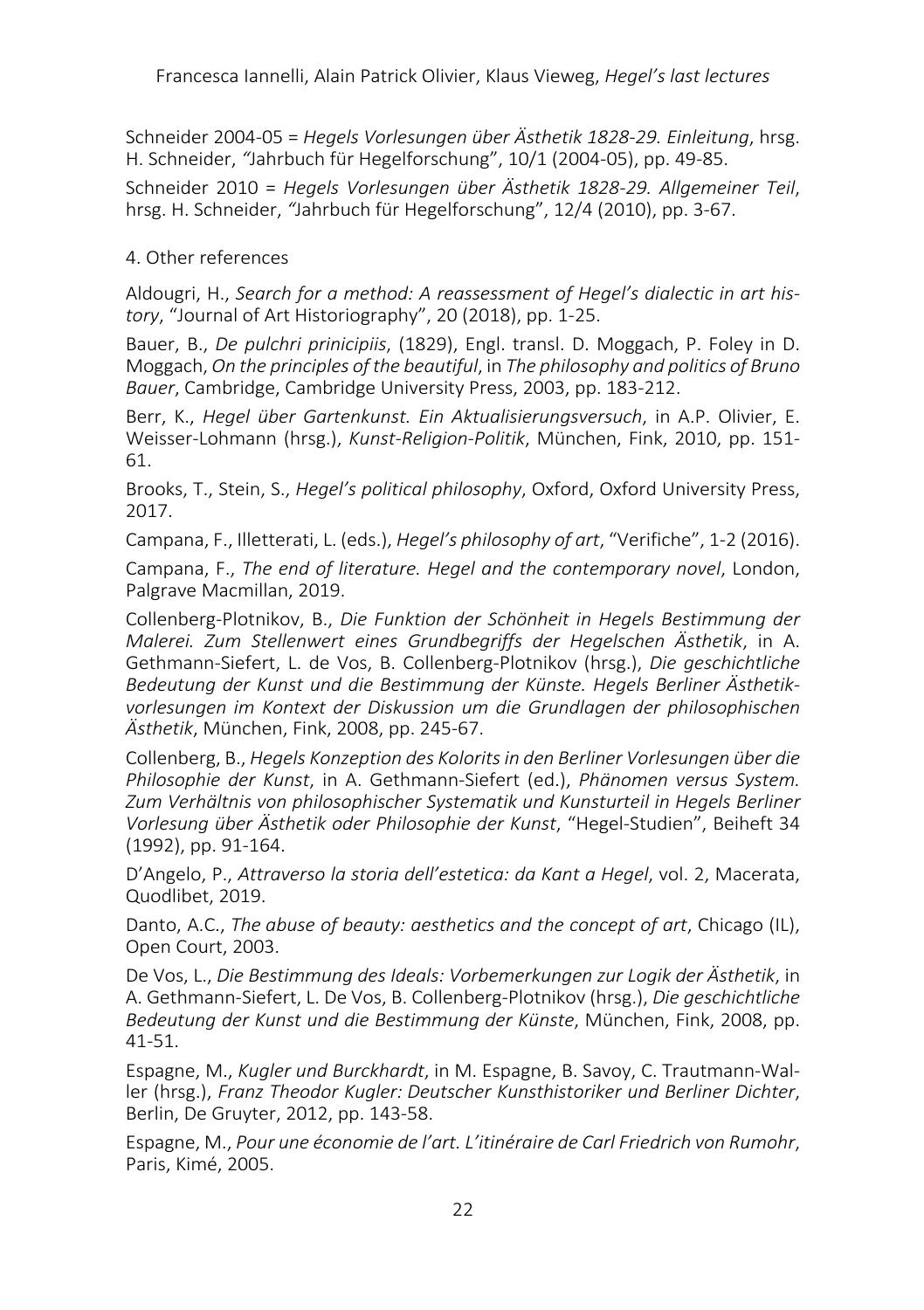Schneider 2004-05 = *Hegels Vorlesungen über Ästhetik 1828-29. Einleitung*, hrsg. H. Schneider, *"*Jahrbuch für Hegelforschung", 10/1 (2004-05), pp. 49-85.

Schneider 2010 = *Hegels Vorlesungen über Ästhetik 1828-29. Allgemeiner Teil*, hrsg. H. Schneider, *"*Jahrbuch für Hegelforschung", 12/4 (2010), pp. 3-67.

### 4. Other references

Aldougri, H., *Search for a method: A reassessment of Hegel's dialectic in art history*, "Journal of Art Historiography", 20 (2018), pp. 1-25.

Bauer, B., *De pulchri prinicipiis*, (1829), Engl. transl. D. Moggach, P. Foley in D. Moggach, *On the principles of the beautiful*, in *The philosophy and politics of Bruno Bauer*, Cambridge, Cambridge University Press, 2003, pp. 183-212.

Berr, K., *Hegel über Gartenkunst. Ein Aktualisierungsversuch*, in A.P. Olivier, E. Weisser-Lohmann (hrsg.), *Kunst-Religion-Politik*, München, Fink, 2010, pp. 151- 61.

Brooks, T., Stein, S., *Hegel's political philosophy*, Oxford, Oxford University Press, 2017.

Campana, F., Illetterati, L. (eds.), *Hegel's philosophy of art*, "Verifiche", 1-2 (2016).

Campana, F., *The end of literature. Hegel and the contemporary novel*, London, Palgrave Macmillan, 2019.

Collenberg-Plotnikov, B., *Die Funktion der Schönheit in Hegels Bestimmung der Malerei. Zum Stellenwert eines Grundbegriffs der Hegelschen Ästhetik*, in A. Gethmann-Siefert, L. de Vos, B. Collenberg-Plotnikov (hrsg.), *Die geschichtliche Bedeutung der Kunst und die Bestimmung der Künste. Hegels Berliner Ästhetikvorlesungen im Kontext der Diskussion um die Grundlagen der philosophischen Ästhetik*, München, Fink, 2008, pp. 245-67.

Collenberg, B., *Hegels Konzeption des Kolorits in den Berliner Vorlesungen über die Philosophie der Kunst*, in A. Gethmann-Siefert (ed.), *Phänomen versus System. Zum Verhältnis von philosophischer Systematik und Kunsturteil in Hegels Berliner Vorlesung über Ästhetik oder Philosophie der Kunst*, "Hegel-Studien", Beiheft 34 (1992), pp. 91-164.

D'Angelo, P., *Attraverso la storia dell'estetica: da Kant a Hegel*, vol. 2, Macerata, Quodlibet, 2019.

Danto, A.C., *The abuse of beauty: aesthetics and the concept of art*, Chicago (IL), Open Court, 2003.

De Vos, L., *Die Bestimmung des Ideals: Vorbemerkungen zur Logik der Ästhetik*, in A. Gethmann-Siefert, L. De Vos, B. Collenberg-Plotnikov (hrsg.), *Die geschichtliche Bedeutung der Kunst und die Bestimmung der Künste*, München, Fink, 2008, pp. 41-51.

Espagne, M., *Kugler und Burckhardt*, in M. Espagne, B. Savoy, C. Trautmann-Waller (hrsg.), *Franz Theodor Kugler: Deutscher Kunsthistoriker und Berliner Dichter*, Berlin, De Gruyter, 2012, pp. 143-58.

Espagne, M., *Pour une économie de l'art. L'itinéraire de Carl Friedrich von Rumohr*, Paris, Kimé, 2005.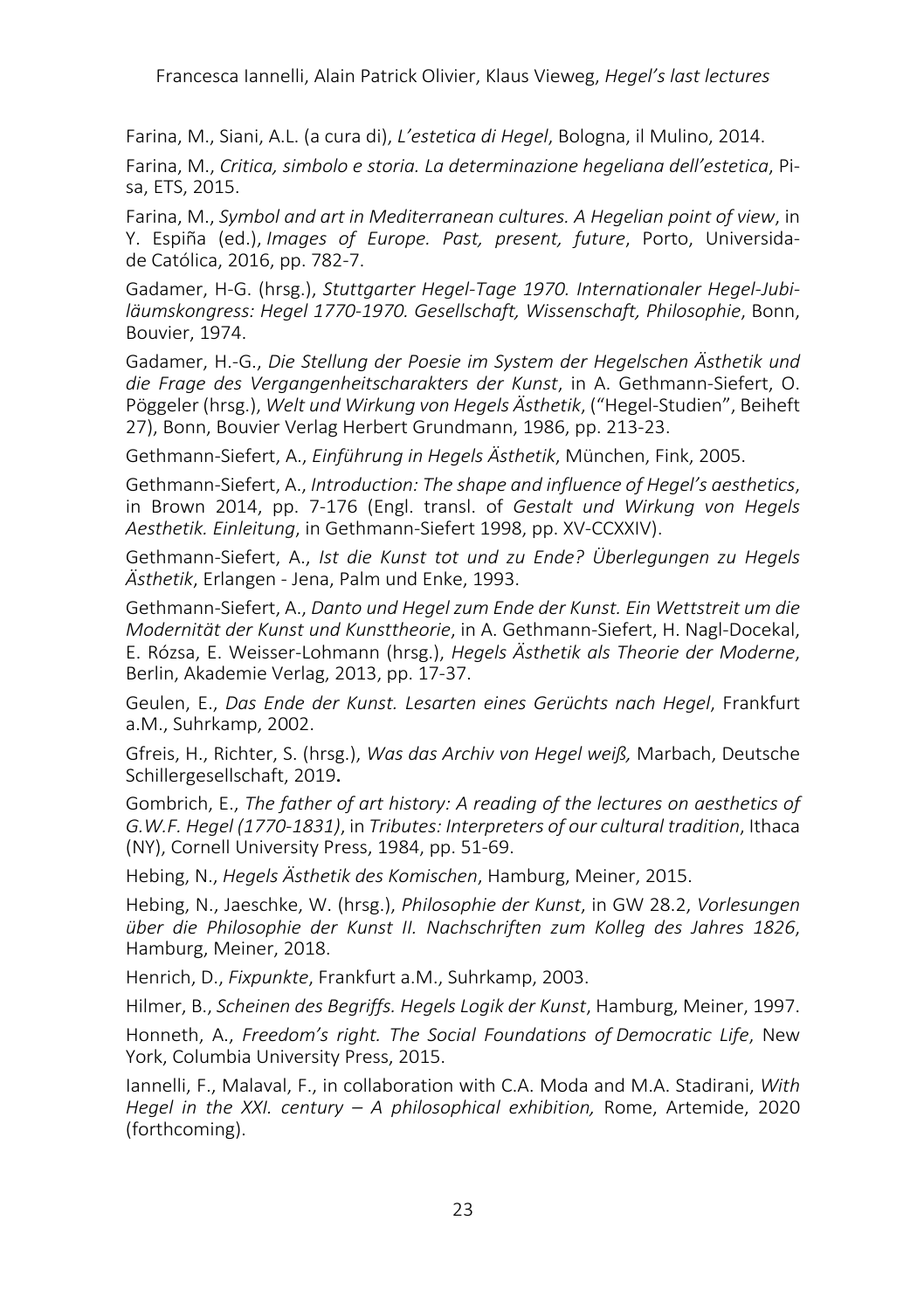Farina, M., Siani, A.L. (a cura di), *L'estetica di Hegel*, Bologna, il Mulino, 2014.

Farina, M., *Critica, simbolo e storia. La determinazione hegeliana dell'estetica*, Pisa, ETS, 2015.

Farina, M., *Symbol and art in Mediterranean cultures. A Hegelian point of view*, in Y. Espiña (ed.), *Images of Europe. Past, present, future*, Porto, Universidade Católica, 2016, pp. 782-7.

Gadamer, H-G. (hrsg.), *Stuttgarter Hegel-Tage 1970. Internationaler Hegel-Jubiläumskongress: Hegel 1770-1970. Gesellschaft, Wissenschaft, Philosophie*, Bonn, Bouvier, 1974.

Gadamer, H.-G., *Die Stellung der Poesie im System der Hegelschen Ästhetik und die Frage des Vergangenheitscharakters der Kunst*, in A. Gethmann-Siefert, O. Pöggeler (hrsg.), *Welt und Wirkung von Hegels Ästhetik*, ("Hegel-Studien", Beiheft 27), Bonn, Bouvier Verlag Herbert Grundmann, 1986, pp. 213-23.

Gethmann-Siefert, A., *Einführung in Hegels Ästhetik*, München, Fink, 2005.

Gethmann-Siefert, A., *Introduction: The shape and influence of Hegel's aesthetics*, in Brown 2014, pp. 7-176 (Engl. transl. of *Gestalt und Wirkung von Hegels Aesthetik. Einleitung*, in Gethmann-Siefert 1998, pp. XV-CCXXIV).

Gethmann-Siefert, A., *Ist die Kunst tot und zu Ende? Überlegungen zu Hegels Ästhetik*, Erlangen - Jena, Palm und Enke, 1993.

Gethmann-Siefert, A., *Danto und Hegel zum Ende der Kunst. Ein Wettstreit um die Modernität der Kunst und Kunsttheorie*, in A. Gethmann-Siefert, H. Nagl-Docekal, E. Rózsa, E. Weisser-Lohmann (hrsg.), *Hegels Ästhetik als Theorie der Moderne*, Berlin, Akademie Verlag, 2013, pp. 17-37.

Geulen, E., *Das Ende der Kunst. Lesarten eines Gerüchts nach Hegel*, Frankfurt a.M., Suhrkamp, 2002.

Gfreis, H., Richter, S. (hrsg.), *Was das Archiv von Hegel weiß,* Marbach, Deutsche Schillergesellschaft, 2019.

Gombrich, E., *The father of art history: A reading of the lectures on aesthetics of G.W.F. Hegel (1770-1831)*, in *Tributes: Interpreters of our cultural tradition*, Ithaca (NY), Cornell University Press, 1984, pp. 51-69.

Hebing, N., *Hegels Ästhetik des Komischen*, Hamburg, Meiner, 2015.

Hebing, N., Jaeschke, W. (hrsg.), *Philosophie der Kunst*, in GW 28.2, *Vorlesungen über die Philosophie der Kunst II. Nachschriften zum Kolleg des Jahres 1826*, Hamburg, Meiner, 2018.

Henrich, D., *Fixpunkte*, Frankfurt a.M., Suhrkamp, 2003.

Hilmer, B., *Scheinen des Begriffs. Hegels Logik der Kunst*, Hamburg, Meiner, 1997.

Honneth, A., *Freedom's right. The Social Foundations of Democratic Life*, New York, Columbia University Press, 2015.

Iannelli, F., Malaval, F., in collaboration with C.A. Moda and M.A. Stadirani, *With Hegel in the XXI. century – A philosophical exhibition,* Rome, Artemide, 2020 (forthcoming).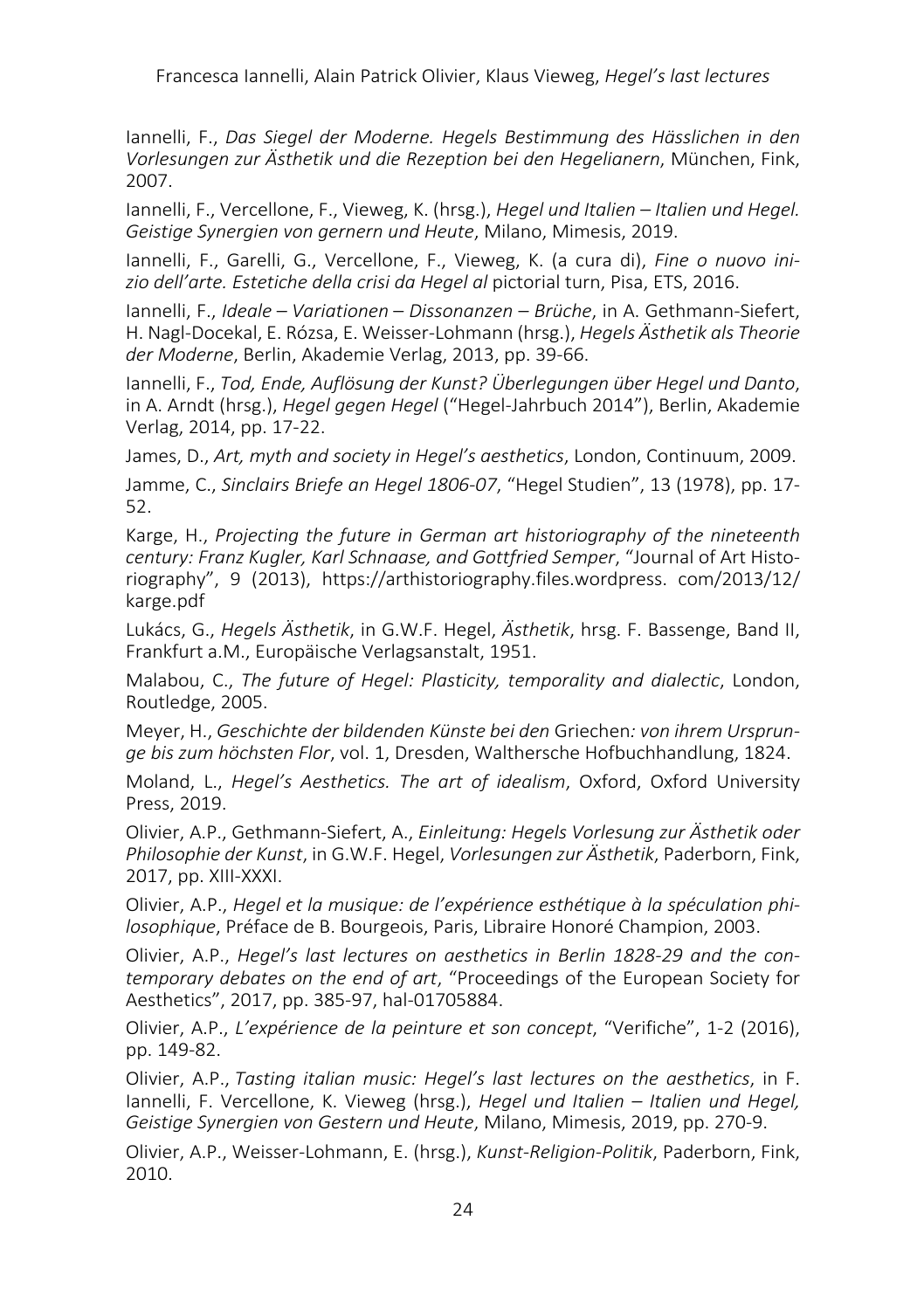Iannelli, F., *Das Siegel der Moderne. Hegels Bestimmung des Hässlichen in den Vorlesungen zur Ästhetik und die Rezeption bei den Hegelianern*, München, Fink, 2007.

Iannelli, F., Vercellone, F., Vieweg, K. (hrsg.), *Hegel und Italien – Italien und Hegel. Geistige Synergien von gernern und Heute*, Milano, Mimesis, 2019.

Iannelli, F., Garelli, G., Vercellone, F., Vieweg, K. (a cura di), *Fine o nuovo inizio dell'arte. Estetiche della crisi da Hegel al* pictorial turn, Pisa, ETS, 2016.

Iannelli, F., *Ideale* – *Variationen* – *Dissonanzen* – *Brüche*, in A. Gethmann-Siefert, H. Nagl-Docekal, E. Rózsa, E. Weisser-Lohmann (hrsg.), *Hegels Ästhetik als Theorie der Moderne*, Berlin, Akademie Verlag, 2013, pp. 39-66.

Iannelli, F., *Tod, Ende, Auflösung der Kunst? Überlegungen über Hegel und Danto*, in A. Arndt (hrsg.), *Hegel gegen Hegel* ("Hegel-Jahrbuch 2014"), Berlin, Akademie Verlag, 2014, pp. 17-22.

James, D., *Art, myth and society in Hegel's aesthetics*, London, Continuum, 2009.

Jamme, C., *Sinclairs Briefe an Hegel 1806-07*, "Hegel Studien", 13 (1978), pp. 17- 52.

Karge, H., *Projecting the future in German art historiography of the nineteenth century: Franz Kugler, Karl Schnaase, and Gottfried Semper*, "Journal of Art Historiography", 9 (2013), https://arthistoriography.files.wordpress. com/2013/12/ karge.pdf

Lukács, G., *Hegels Ästhetik*, in G.W.F. Hegel, *Ästhetik*, hrsg. F. Bassenge, Band II, Frankfurt a.M., Europäische Verlagsanstalt, 1951.

Malabou, C., *The future of Hegel: Plasticity, temporality and dialectic*, London, Routledge, 2005.

Meyer, H., *Geschichte der bildenden Künste bei den* Griechen*: von ihrem Ursprunge bis zum höchsten Flor*, vol. 1, Dresden, Walthersche Hofbuchhandlung, 1824.

Moland, L., *Hegel's Aesthetics. The art of idealism*, Oxford, Oxford University Press, 2019.

Olivier, A.P., Gethmann-Siefert, A., *Einleitung: Hegels Vorlesung zur Ästhetik oder Philosophie der Kunst*, in G.W.F. Hegel, *Vorlesungen zur Ästhetik*, Paderborn, Fink, 2017, pp. XIII-XXXI.

Olivier, A.P., *Hegel et la musique: de l'expérience esthétique à la spéculation philosophique*, Préface de B. Bourgeois, Paris, Libraire Honoré Champion, 2003.

Olivier, A.P., *Hegel's last lectures on aesthetics in Berlin 1828-29 and the contemporary debates on the end of art*, "Proceedings of the European Society for Aesthetics", 2017, pp. 385-97, hal-01705884.

Olivier, A.P., *L'expérience de la peinture et son concept*, "Verifiche", 1-2 (2016), pp. 149-82.

Olivier, A.P., *Tasting italian music: Hegel's last lectures on the aesthetics*, in F. Iannelli, F. Vercellone, K. Vieweg (hrsg.), *Hegel und Italien – Italien und Hegel, Geistige Synergien von Gestern und Heute*, Milano, Mimesis, 2019, pp. 270-9.

Olivier, A.P., Weisser-Lohmann, E. (hrsg.), *Kunst-Religion-Politik*, Paderborn, Fink, 2010.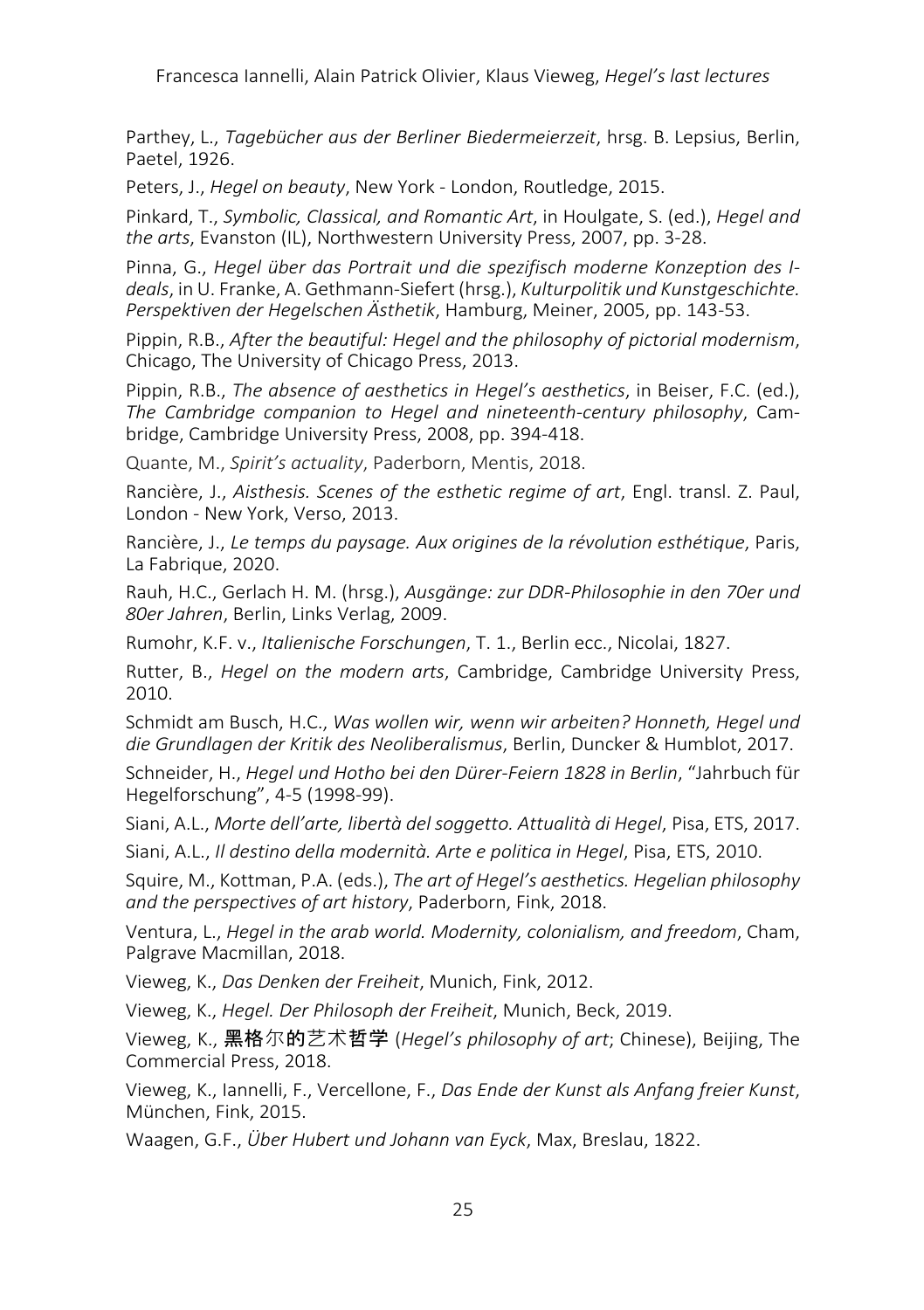Francesca Iannelli, Alain Patrick Olivier, Klaus Vieweg, *Hegel's last lectures*

Parthey, L., *Tagebücher aus der Berliner Biedermeierzeit*, hrsg. B. Lepsius, Berlin, Paetel, 1926.

Peters, J., *Hegel on beauty*, New York - London, Routledge, 2015.

Pinkard, T., *Symbolic, Classical, and Romantic Art*, in Houlgate, S. (ed.), *Hegel and the arts*, Evanston (IL), Northwestern University Press, 2007, pp. 3-28.

Pinna, G., *Hegel über das Portrait und die spezifisch moderne Konzeption des Ideals*, in U. Franke, A. Gethmann-Siefert (hrsg.), *Kulturpolitik und Kunstgeschichte. Perspektiven der Hegelschen Ästhetik*, Hamburg, Meiner, 2005, pp. 143-53.

Pippin, R.B., *After the beautiful: Hegel and the philosophy of pictorial modernism*, Chicago, The University of Chicago Press, 2013.

Pippin, R.B., *The absence of aesthetics in Hegel's aesthetics*, in Beiser, F.C. (ed.), *The Cambridge companion to Hegel and nineteenth-century philosophy*, Cambridge, Cambridge University Press, 2008, pp. 394-418.

Quante, M., *Spirit's actuality*, Paderborn, Mentis, 2018.

Rancière, J., *Aisthesis. Scenes of the esthetic regime of art*, Engl. transl. Z. Paul, London - New York, Verso, 2013.

Rancière, J., *Le temps du paysage. Aux origines de la révolution esthétique*, Paris, La Fabrique, 2020.

Rauh, H.C., Gerlach H. M. (hrsg.), *Ausgänge: zur DDR-Philosophie in den 70er und 80er Jahren*, Berlin, Links Verlag, 2009.

Rumohr, K.F. v., *Italienische Forschungen*, T. 1., Berlin ecc., Nicolai, 1827.

Rutter, B., *Hegel on the modern arts*, Cambridge, Cambridge University Press, 2010.

Schmidt am Busch, H.C., *Was wollen wir, wenn wir arbeiten? Honneth, Hegel und die Grundlagen der Kritik des Neoliberalismus*, Berlin, Duncker & Humblot, 2017.

Schneider, H., *Hegel und Hotho bei den Dürer-Feiern 1828 in Berlin*, "Jahrbuch für Hegelforschung", 4-5 (1998-99).

Siani, A.L., *Morte dell'arte, libertà del soggetto. Attualità di Hegel*, Pisa, ETS, 2017.

Siani, A.L., *Il destino della modernità. Arte e politica in Hegel*, Pisa, ETS, 2010.

Squire, M., Kottman, P.A. (eds.), *The art of Hegel's aesthetics. Hegelian philosophy and the perspectives of art history*, Paderborn, Fink, 2018.

Ventura, L., *Hegel in the arab world. Modernity, colonialism, and freedom*, Cham, Palgrave Macmillan, 2018.

Vieweg, K., *Das Denken der Freiheit*, Munich, Fink, 2012.

Vieweg, K., *Hegel. Der Philosoph der Freiheit*, Munich, Beck, 2019.

Vieweg, K., 黑格尔的艺术哲学 (*Hegel's philosophy of art*; Chinese), Beijing, The Commercial Press, 2018.

Vieweg, K., Iannelli, F., Vercellone, F., *Das Ende der Kunst als Anfang freier Kunst*, München, Fink, 2015.

Waagen, G.F., *Über Hubert und Johann van Eyck*, Max, Breslau, 1822.